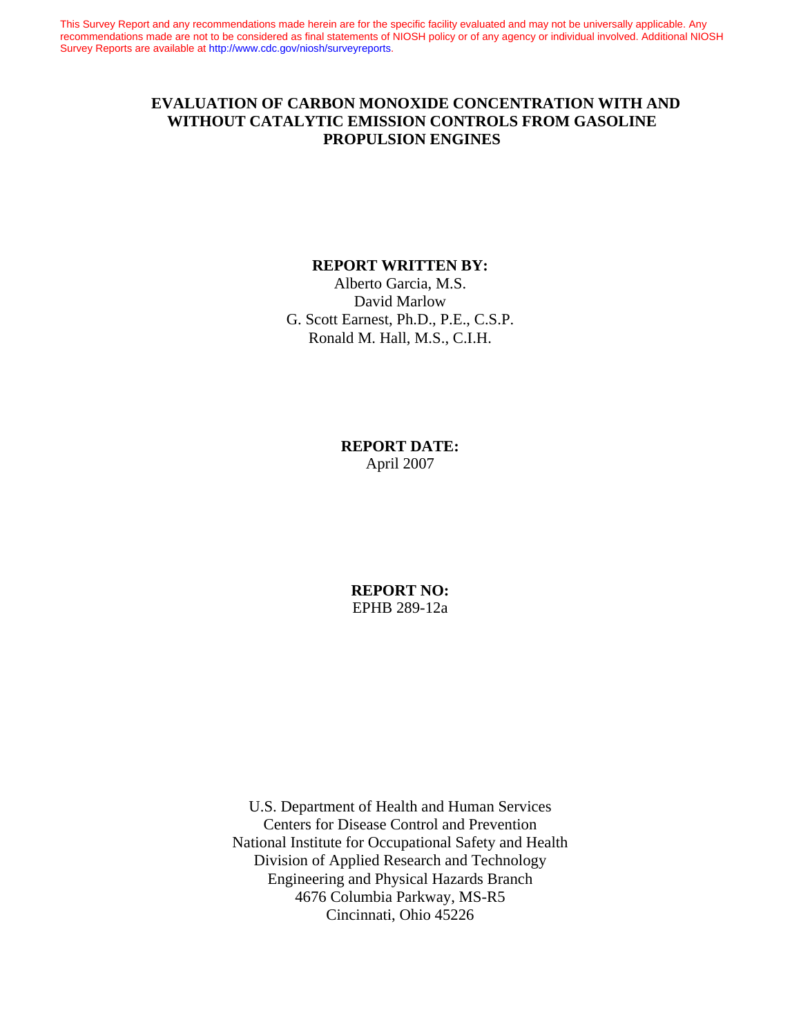This Survey Report and any recommendations made herein are for the specific facility evaluated and may not be universally applicable. Any recommendations made are not to be considered as final statements of NIOSH policy or of any agency or individual involved. Additional NIOSH Survey Reports are available at [http://www.cdc.gov/niosh/surveyreports.](http://www.cdc.gov/niosh/surveyreports)

## **EVALUATION OF CARBON MONOXIDE CONCENTRATION WITH AND WITHOUT CATALYTIC EMISSION CONTROLS FROM GASOLINE PROPULSION ENGINES**

#### **REPORT WRITTEN BY:**

Alberto Garcia, M.S. David Marlow G. Scott Earnest, Ph.D., P.E., C.S.P. Ronald M. Hall, M.S., C.I.H.

> **REPORT DATE:** April 2007

**REPORT NO:** EPHB 289-12a

U.S. Department of Health and Human Services Centers for Disease Control and Prevention National Institute for Occupational Safety and Health Division of Applied Research and Technology Engineering and Physical Hazards Branch 4676 Columbia Parkway, MS-R5 Cincinnati, Ohio 45226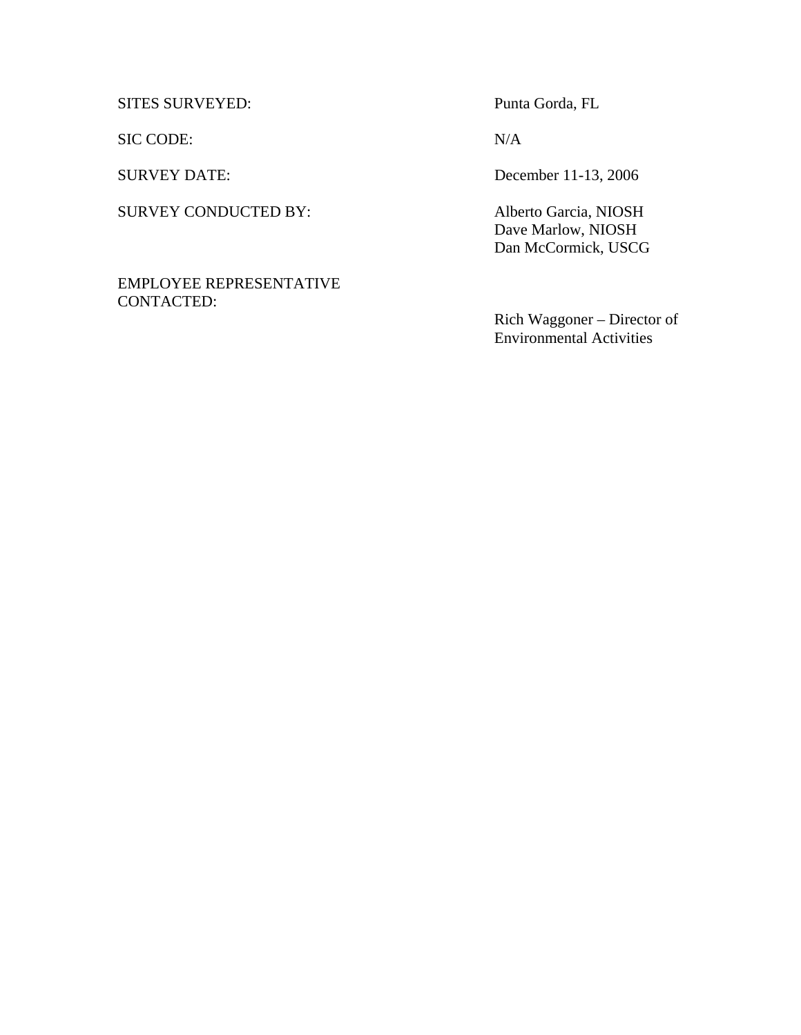SITES SURVEYED: Punta Gorda, FL

SIC CODE: N/A

SURVEY CONDUCTED BY: Alberto Garcia, NIOSH

EMPLOYEE REPRESENTATIVE CONTACTED:

SURVEY DATE: December 11-13, 2006

 Dave Marlow, NIOSH Dan McCormick, USCG

Rich Waggoner – Director of Environmental Activities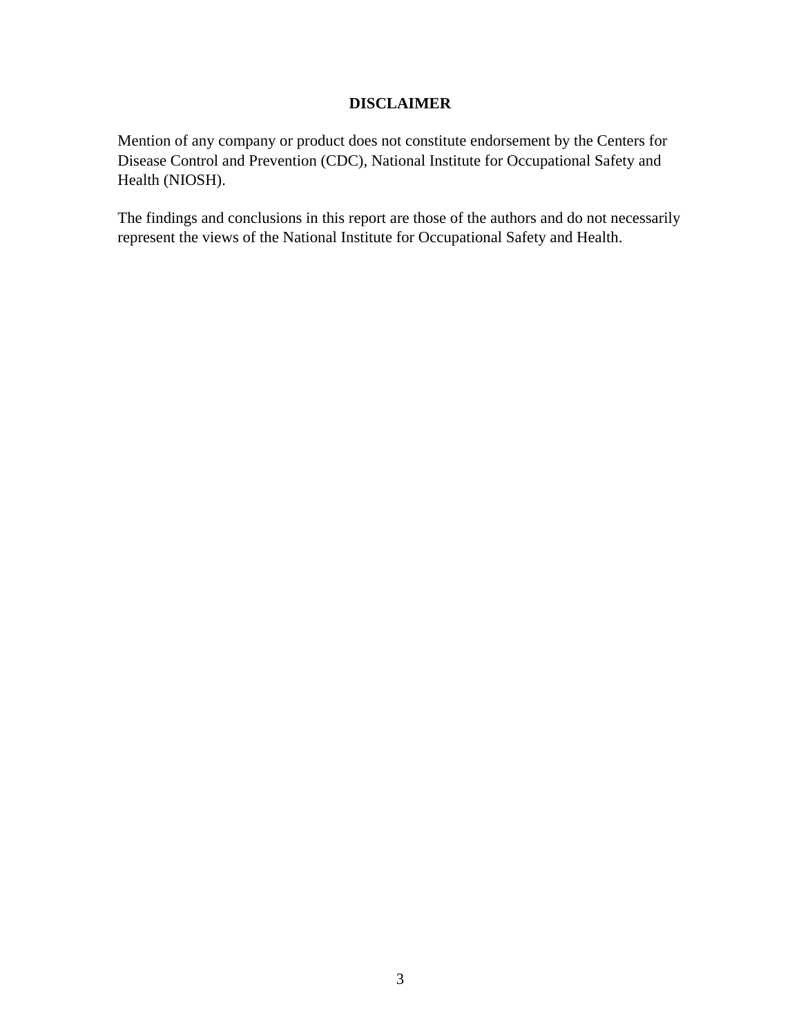## **DISCLAIMER**

Mention of any company or product does not constitute endorsement by the Centers for Disease Control and Prevention (CDC), National Institute for Occupational Safety and Health (NIOSH).

The findings and conclusions in this report are those of the authors and do not necessarily represent the views of the National Institute for Occupational Safety and Health.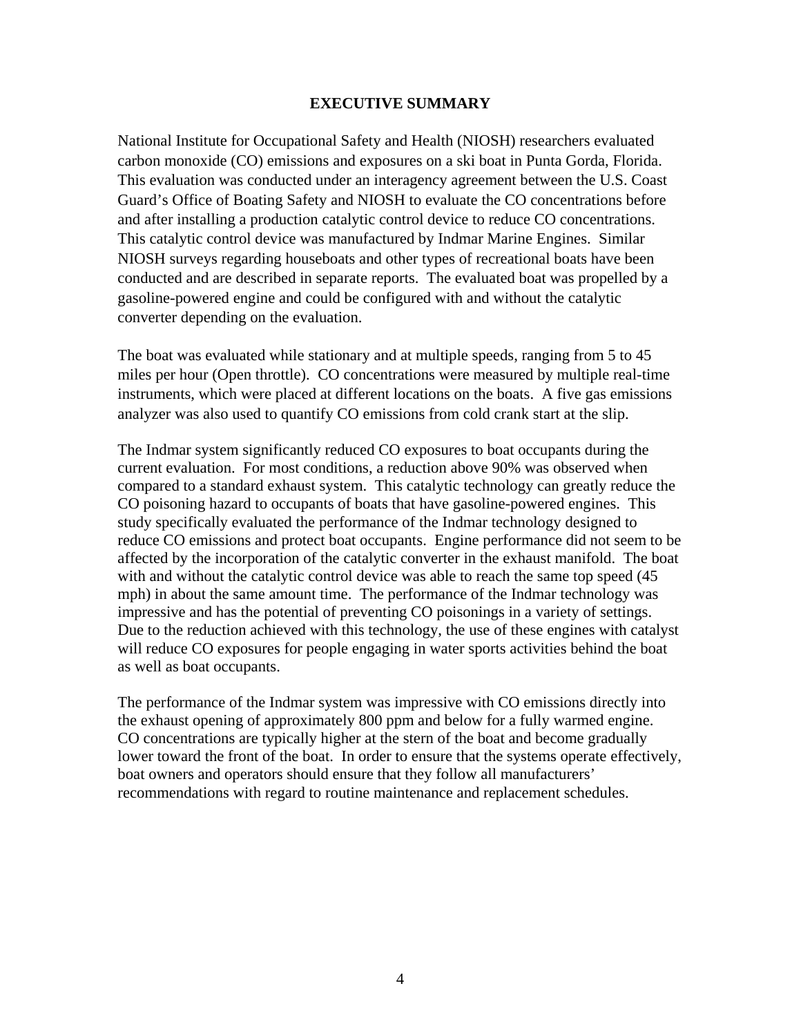#### **EXECUTIVE SUMMARY**

National Institute for Occupational Safety and Health (NIOSH) researchers evaluated carbon monoxide (CO) emissions and exposures on a ski boat in Punta Gorda, Florida. This evaluation was conducted under an interagency agreement between the U.S. Coast Guard's Office of Boating Safety and NIOSH to evaluate the CO concentrations before and after installing a production catalytic control device to reduce CO concentrations. This catalytic control device was manufactured by Indmar Marine Engines. Similar NIOSH surveys regarding houseboats and other types of recreational boats have been conducted and are described in separate reports. The evaluated boat was propelled by a gasoline-powered engine and could be configured with and without the catalytic converter depending on the evaluation.

The boat was evaluated while stationary and at multiple speeds, ranging from 5 to 45 miles per hour (Open throttle). CO concentrations were measured by multiple real-time instruments, which were placed at different locations on the boats. A five gas emissions analyzer was also used to quantify CO emissions from cold crank start at the slip.

The Indmar system significantly reduced CO exposures to boat occupants during the current evaluation. For most conditions, a reduction above 90% was observed when compared to a standard exhaust system. This catalytic technology can greatly reduce the CO poisoning hazard to occupants of boats that have gasoline-powered engines. This study specifically evaluated the performance of the Indmar technology designed to reduce CO emissions and protect boat occupants. Engine performance did not seem to be affected by the incorporation of the catalytic converter in the exhaust manifold. The boat with and without the catalytic control device was able to reach the same top speed  $(45)$ mph) in about the same amount time. The performance of the Indmar technology was impressive and has the potential of preventing CO poisonings in a variety of settings. Due to the reduction achieved with this technology, the use of these engines with catalyst will reduce CO exposures for people engaging in water sports activities behind the boat as well as boat occupants.

The performance of the Indmar system was impressive with CO emissions directly into the exhaust opening of approximately 800 ppm and below for a fully warmed engine. CO concentrations are typically higher at the stern of the boat and become gradually lower toward the front of the boat. In order to ensure that the systems operate effectively, boat owners and operators should ensure that they follow all manufacturers' recommendations with regard to routine maintenance and replacement schedules.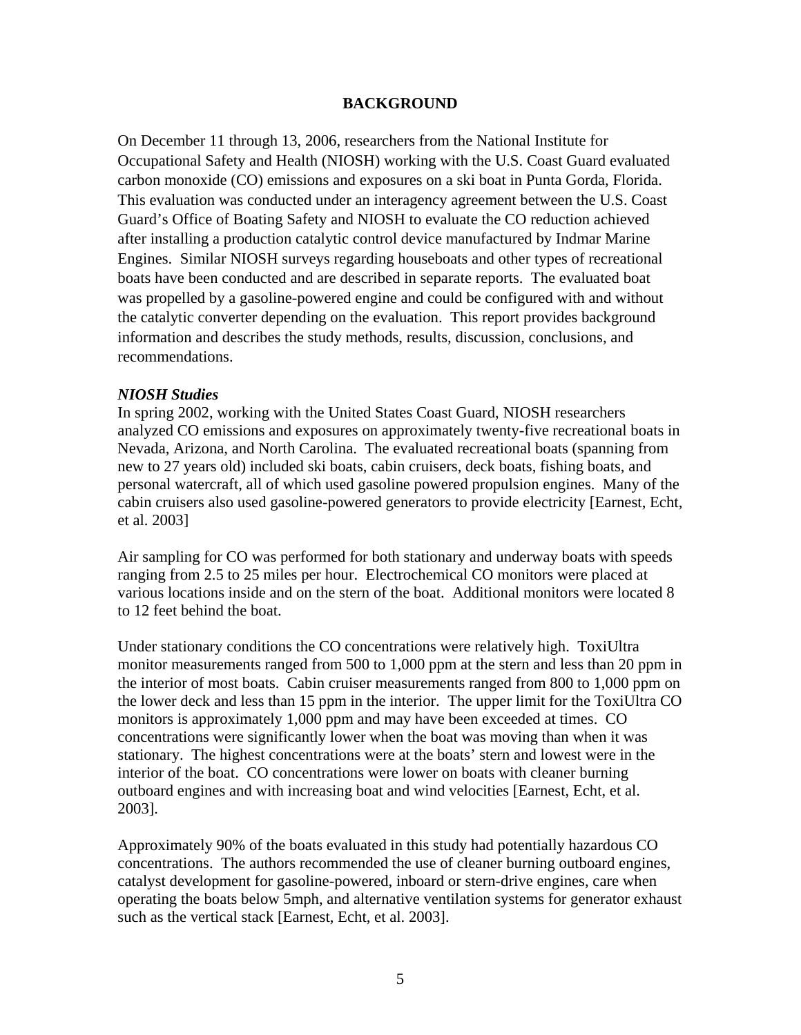### **BACKGROUND**

On December 11 through 13, 2006, researchers from the National Institute for Occupational Safety and Health (NIOSH) working with the U.S. Coast Guard evaluated carbon monoxide (CO) emissions and exposures on a ski boat in Punta Gorda, Florida. This evaluation was conducted under an interagency agreement between the U.S. Coast Guard's Office of Boating Safety and NIOSH to evaluate the CO reduction achieved after installing a production catalytic control device manufactured by Indmar Marine Engines. Similar NIOSH surveys regarding houseboats and other types of recreational boats have been conducted and are described in separate reports. The evaluated boat was propelled by a gasoline-powered engine and could be configured with and without the catalytic converter depending on the evaluation. This report provides background information and describes the study methods, results, discussion, conclusions, and recommendations.

#### *NIOSH Studies*

In spring 2002, working with the United States Coast Guard, NIOSH researchers analyzed CO emissions and exposures on approximately twenty-five recreational boats in Nevada, Arizona, and North Carolina. The evaluated recreational boats (spanning from new to 27 years old) included ski boats, cabin cruisers, deck boats, fishing boats, and personal watercraft, all of which used gasoline powered propulsion engines. Many of the cabin cruisers also used gasoline-powered generators to provide electricity [Earnest, Echt, et al. 2003]

Air sampling for CO was performed for both stationary and underway boats with speeds ranging from 2.5 to 25 miles per hour. Electrochemical CO monitors were placed at various locations inside and on the stern of the boat. Additional monitors were located 8 to 12 feet behind the boat.

Under stationary conditions the CO concentrations were relatively high. ToxiUltra monitor measurements ranged from 500 to 1,000 ppm at the stern and less than 20 ppm in the interior of most boats. Cabin cruiser measurements ranged from 800 to 1,000 ppm on the lower deck and less than 15 ppm in the interior. The upper limit for the ToxiUltra CO monitors is approximately 1,000 ppm and may have been exceeded at times. CO concentrations were significantly lower when the boat was moving than when it was stationary. The highest concentrations were at the boats' stern and lowest were in the interior of the boat. CO concentrations were lower on boats with cleaner burning outboard engines and with increasing boat and wind velocities [Earnest, Echt, et al. 2003].

Approximately 90% of the boats evaluated in this study had potentially hazardous CO concentrations. The authors recommended the use of cleaner burning outboard engines, catalyst development for gasoline-powered, inboard or stern-drive engines, care when operating the boats below 5mph, and alternative ventilation systems for generator exhaust such as the vertical stack [Earnest, Echt, et al. 2003].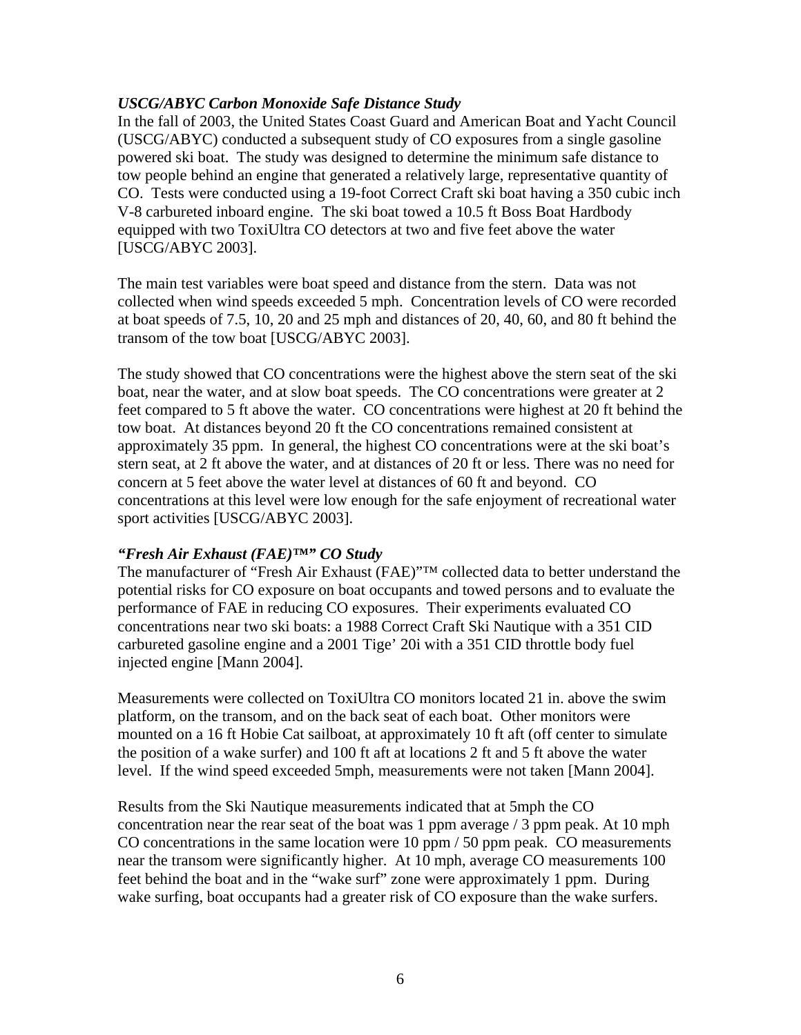## *USCG/ABYC Carbon Monoxide Safe Distance Study*

In the fall of 2003, the United States Coast Guard and American Boat and Yacht Council (USCG/ABYC) conducted a subsequent study of CO exposures from a single gasoline powered ski boat. The study was designed to determine the minimum safe distance to tow people behind an engine that generated a relatively large, representative quantity of CO. Tests were conducted using a 19-foot Correct Craft ski boat having a 350 cubic inch V-8 carbureted inboard engine. The ski boat towed a 10.5 ft Boss Boat Hardbody equipped with two ToxiUltra CO detectors at two and five feet above the water [USCG/ABYC 2003].

The main test variables were boat speed and distance from the stern. Data was not collected when wind speeds exceeded 5 mph. Concentration levels of CO were recorded at boat speeds of 7.5, 10, 20 and 25 mph and distances of 20, 40, 60, and 80 ft behind the transom of the tow boat [USCG/ABYC 2003].

The study showed that CO concentrations were the highest above the stern seat of the ski boat, near the water, and at slow boat speeds. The CO concentrations were greater at 2 feet compared to 5 ft above the water. CO concentrations were highest at 20 ft behind the tow boat. At distances beyond 20 ft the CO concentrations remained consistent at approximately 35 ppm. In general, the highest CO concentrations were at the ski boat's stern seat, at 2 ft above the water, and at distances of 20 ft or less. There was no need for concern at 5 feet above the water level at distances of 60 ft and beyond. CO concentrations at this level were low enough for the safe enjoyment of recreational water sport activities [USCG/ABYC 2003].

## *"Fresh Air Exhaust (FAE)™" CO Study*

The manufacturer of "Fresh Air Exhaust (FAE)"™ collected data to better understand the potential risks for CO exposure on boat occupants and towed persons and to evaluate the performance of FAE in reducing CO exposures. Their experiments evaluated CO concentrations near two ski boats: a 1988 Correct Craft Ski Nautique with a 351 CID carbureted gasoline engine and a 2001 Tige' 20i with a 351 CID throttle body fuel injected engine [Mann 2004].

Measurements were collected on ToxiUltra CO monitors located 21 in. above the swim platform, on the transom, and on the back seat of each boat. Other monitors were mounted on a 16 ft Hobie Cat sailboat, at approximately 10 ft aft (off center to simulate the position of a wake surfer) and 100 ft aft at locations 2 ft and 5 ft above the water level. If the wind speed exceeded 5mph, measurements were not taken [Mann 2004].

Results from the Ski Nautique measurements indicated that at 5mph the CO concentration near the rear seat of the boat was 1 ppm average  $\frac{1}{3}$  ppm peak. At 10 mph CO concentrations in the same location were 10 ppm / 50 ppm peak. CO measurements near the transom were significantly higher. At 10 mph, average CO measurements 100 feet behind the boat and in the "wake surf" zone were approximately 1 ppm. During wake surfing, boat occupants had a greater risk of CO exposure than the wake surfers.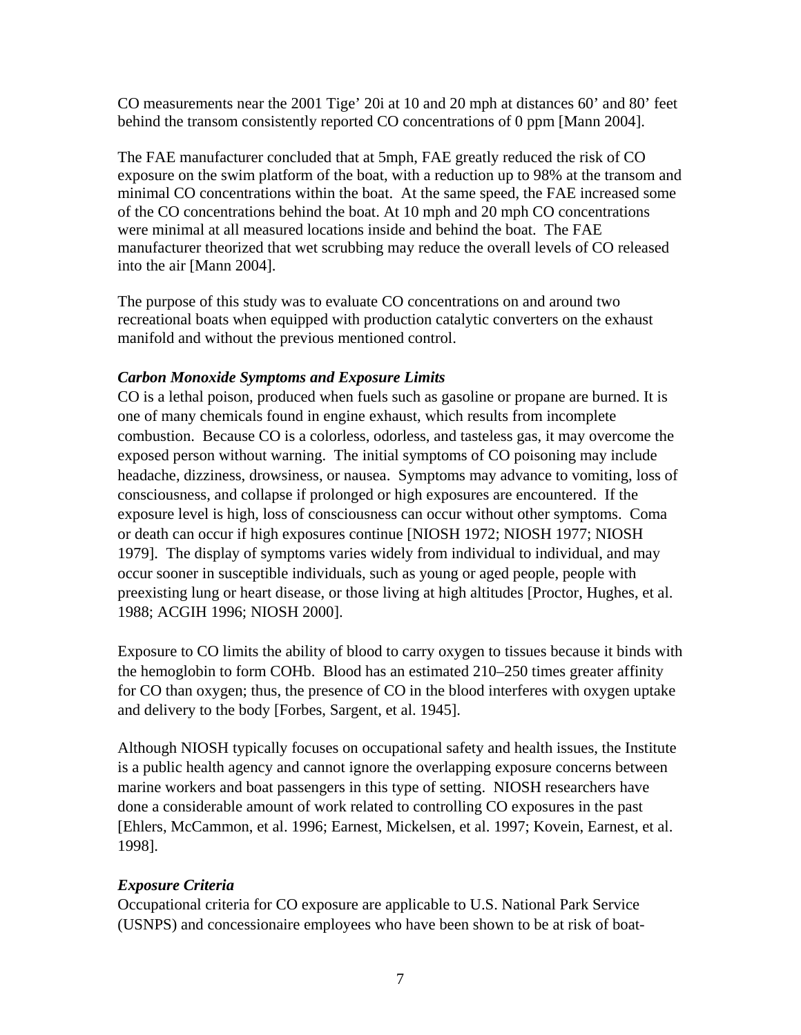CO measurements near the 2001 Tige' 20i at 10 and 20 mph at distances 60' and 80' feet behind the transom consistently reported CO concentrations of 0 ppm [Mann 2004].

The FAE manufacturer concluded that at 5mph, FAE greatly reduced the risk of CO exposure on the swim platform of the boat, with a reduction up to 98% at the transom and minimal CO concentrations within the boat. At the same speed, the FAE increased some of the CO concentrations behind the boat. At 10 mph and 20 mph CO concentrations were minimal at all measured locations inside and behind the boat. The FAE manufacturer theorized that wet scrubbing may reduce the overall levels of CO released into the air [Mann 2004].

The purpose of this study was to evaluate CO concentrations on and around two recreational boats when equipped with production catalytic converters on the exhaust manifold and without the previous mentioned control.

## *Carbon Monoxide Symptoms and Exposure Limits*

CO is a lethal poison, produced when fuels such as gasoline or propane are burned. It is one of many chemicals found in engine exhaust, which results from incomplete combustion. Because CO is a colorless, odorless, and tasteless gas, it may overcome the exposed person without warning. The initial symptoms of CO poisoning may include headache, dizziness, drowsiness, or nausea. Symptoms may advance to vomiting, loss of consciousness, and collapse if prolonged or high exposures are encountered. If the exposure level is high, loss of consciousness can occur without other symptoms. Coma or death can occur if high exposures continue [NIOSH 1972; NIOSH 1977; NIOSH 1979]. The display of symptoms varies widely from individual to individual, and may occur sooner in susceptible individuals, such as young or aged people, people with preexisting lung or heart disease, or those living at high altitudes [Proctor, Hughes, et al. 1988; ACGIH 1996; NIOSH 2000].

Exposure to CO limits the ability of blood to carry oxygen to tissues because it binds with the hemoglobin to form COHb. Blood has an estimated 210–250 times greater affinity for CO than oxygen; thus, the presence of CO in the blood interferes with oxygen uptake and delivery to the body [Forbes, Sargent, et al. 1945].

Although NIOSH typically focuses on occupational safety and health issues, the Institute is a public health agency and cannot ignore the overlapping exposure concerns between marine workers and boat passengers in this type of setting. NIOSH researchers have done a considerable amount of work related to controlling CO exposures in the past [Ehlers, McCammon, et al. 1996; Earnest, Mickelsen, et al. 1997; Kovein, Earnest, et al. 1998].

## *Exposure Criteria*

Occupational criteria for CO exposure are applicable to U.S. National Park Service (USNPS) and concessionaire employees who have been shown to be at risk of boat-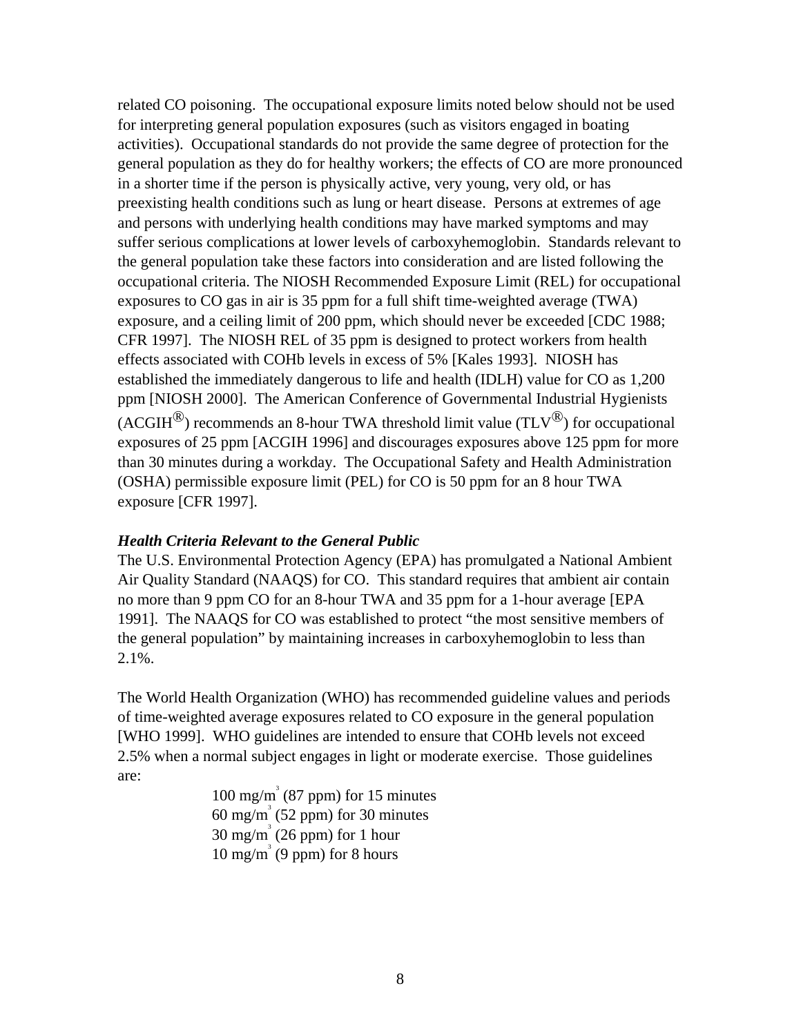related CO poisoning. The occupational exposure limits noted below should not be used for interpreting general population exposures (such as visitors engaged in boating activities). Occupational standards do not provide the same degree of protection for the general population as they do for healthy workers; the effects of CO are more pronounced in a shorter time if the person is physically active, very young, very old, or has preexisting health conditions such as lung or heart disease. Persons at extremes of age and persons with underlying health conditions may have marked symptoms and may suffer serious complications at lower levels of carboxyhemoglobin. Standards relevant to the general population take these factors into consideration and are listed following the occupational criteria. The NIOSH Recommended Exposure Limit (REL) for occupational exposures to CO gas in air is 35 ppm for a full shift time-weighted average (TWA) exposure, and a ceiling limit of 200 ppm, which should never be exceeded [CDC 1988; CFR 1997]. The NIOSH REL of 35 ppm is designed to protect workers from health effects associated with COHb levels in excess of 5% [Kales 1993]. NIOSH has established the immediately dangerous to life and health (IDLH) value for CO as 1,200 ppm [NIOSH 2000]. The American Conference of Governmental Industrial Hygienists (ACGIH<sup>®</sup>) recommends an 8-hour TWA threshold limit value (TLV<sup>®</sup>) for occupational exposures of 25 ppm [ACGIH 1996] and discourages exposures above 125 ppm for more than 30 minutes during a workday. The Occupational Safety and Health Administration (OSHA) permissible exposure limit (PEL) for CO is 50 ppm for an 8 hour TWA exposure [CFR 1997].

## *Health Criteria Relevant to the General Public*

The U.S. Environmental Protection Agency (EPA) has promulgated a National Ambient Air Quality Standard (NAAQS) for CO. This standard requires that ambient air contain no more than 9 ppm CO for an 8-hour TWA and 35 ppm for a 1-hour average [EPA 1991]. The NAAQS for CO was established to protect "the most sensitive members of the general population" by maintaining increases in carboxyhemoglobin to less than 2.1%.

The World Health Organization (WHO) has recommended guideline values and periods of time-weighted average exposures related to CO exposure in the general population [WHO 1999]. WHO guidelines are intended to ensure that COHb levels not exceed 2.5% when a normal subject engages in light or moderate exercise. Those guidelines are:

 $100 \text{ mg/m}^3$  (87 ppm) for 15 minutes  $60 \text{ mg/m}^3$  (52 ppm) for 30 minutes  $30 \text{ mg/m}^3$  (26 ppm) for 1 hour  $10 \text{ mg/m}^3$  (9 ppm) for 8 hours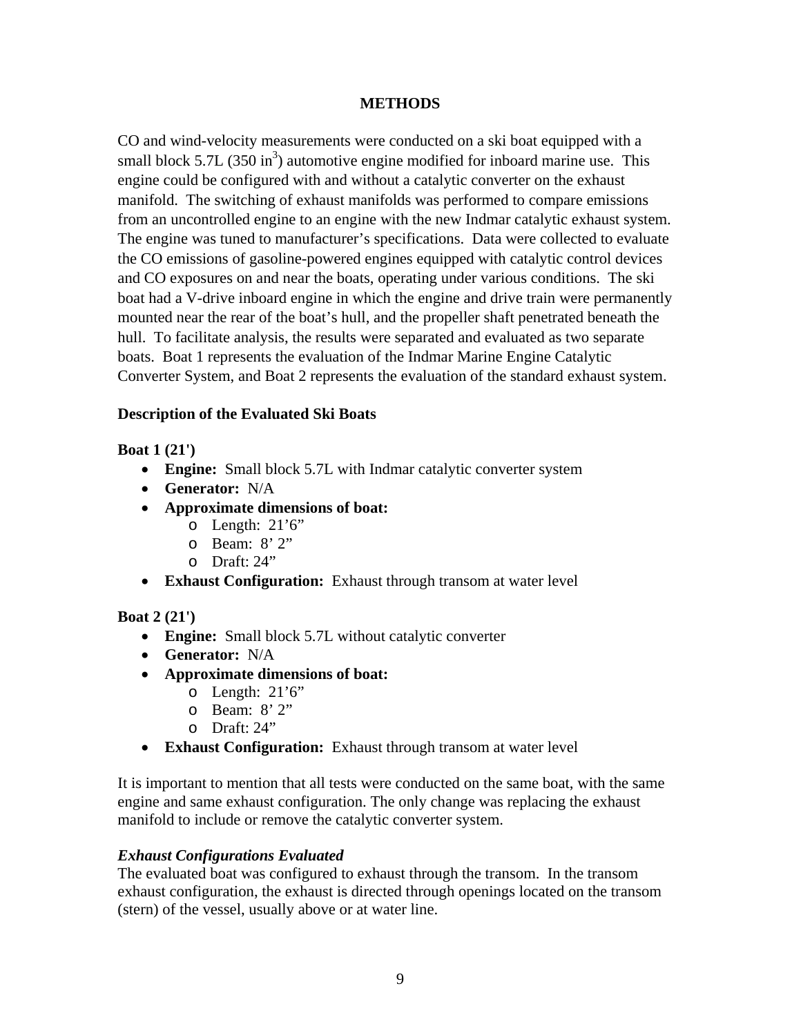## **METHODS**

CO and wind-velocity measurements were conducted on a ski boat equipped with a small block 5.7L  $(350 \text{ in}^3)$  automotive engine modified for inboard marine use. This engine could be configured with and without a catalytic converter on the exhaust manifold. The switching of exhaust manifolds was performed to compare emissions from an uncontrolled engine to an engine with the new Indmar catalytic exhaust system. The engine was tuned to manufacturer's specifications. Data were collected to evaluate the CO emissions of gasoline-powered engines equipped with catalytic control devices and CO exposures on and near the boats, operating under various conditions. The ski boat had a V-drive inboard engine in which the engine and drive train were permanently mounted near the rear of the boat's hull, and the propeller shaft penetrated beneath the hull. To facilitate analysis, the results were separated and evaluated as two separate boats. Boat 1 represents the evaluation of the Indmar Marine Engine Catalytic Converter System, and Boat 2 represents the evaluation of the standard exhaust system.

## **Description of the Evaluated Ski Boats**

**Boat 1 (21')**

- **Engine:** Small block 5.7L with Indmar catalytic converter system
- **Generator:** N/A
- **Approximate dimensions of boat:**
	- o Length: 21'6"
	- o Beam: 8' 2"
	- o Draft: 24"
- **Exhaust Configuration:** Exhaust through transom at water level

## **Boat 2 (21')**

- **Engine:** Small block 5.7L without catalytic converter
- **Generator:** N/A
- **Approximate dimensions of boat:**
	- $\circ$  Length: 21'6"
	- o Beam: 8' 2"
	- o Draft: 24"
- **Exhaust Configuration:** Exhaust through transom at water level

It is important to mention that all tests were conducted on the same boat, with the same engine and same exhaust configuration. The only change was replacing the exhaust manifold to include or remove the catalytic converter system.

## *Exhaust Configurations Evaluated*

The evaluated boat was configured to exhaust through the transom. In the transom exhaust configuration, the exhaust is directed through openings located on the transom (stern) of the vessel, usually above or at water line.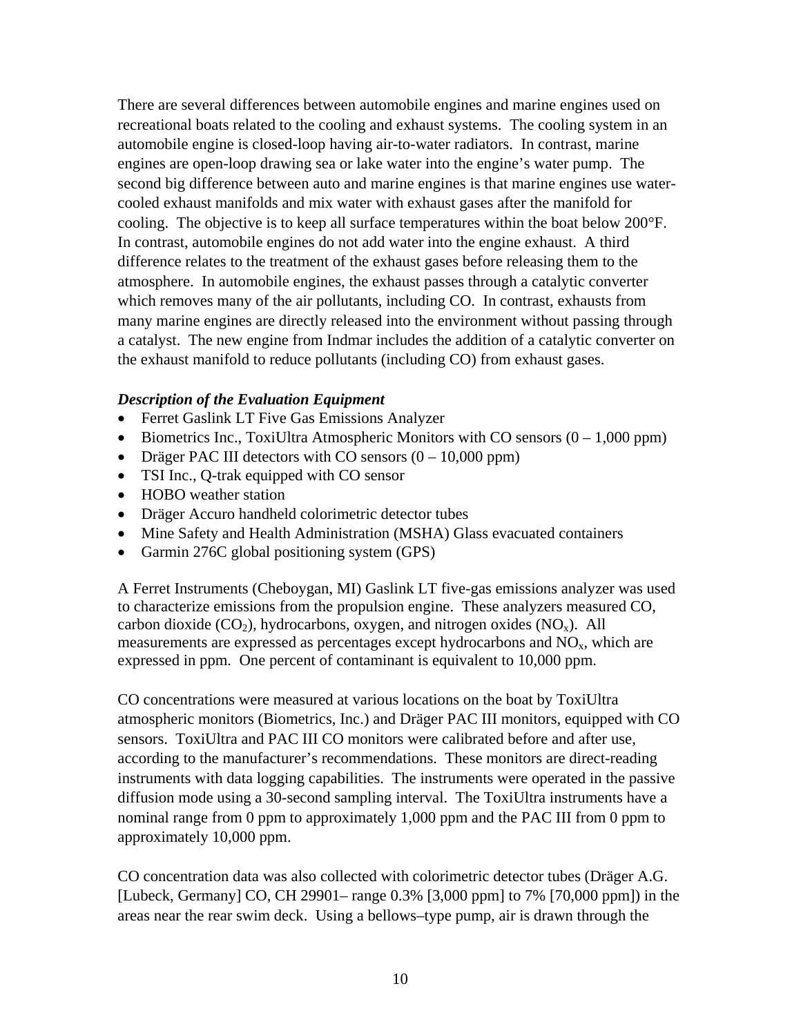There are several differences between automobile engines and marine engines used on recreational boats related to the cooling and exhaust systems. The cooling system in an automobile engine is closed-loop having air-to-water radiators. In contrast, marine engines are open-loop drawing sea or lake water into the engine's water pump. The second big difference between auto and marine engines is that marine engines use watercooled exhaust manifolds and mix water with exhaust gases after the manifold for cooling. The objective is to keep all surface temperatures within the boat below 200°F. In contrast, automobile engines do not add water into the engine exhaust. A third difference relates to the treatment of the exhaust gases before releasing them to the atmosphere. In automobile engines, the exhaust passes through a catalytic converter which removes many of the air pollutants, including CO. In contrast, exhausts from many marine engines are directly released into the environment without passing through a catalyst. The new engine from Indmar includes the addition of a catalytic converter on the exhaust manifold to reduce pollutants (including CO) from exhaust gases.

#### *Description of the Evaluation Equipment*

- Ferret Gaslink LT Five Gas Emissions Analyzer
- Biometrics Inc., ToxiUltra Atmospheric Monitors with CO sensors  $(0 1,000 \text{ ppm})$
- Dräger PAC III detectors with CO sensors  $(0 10,000 \text{ ppm})$
- TSI Inc., Q-trak equipped with CO sensor
- HOBO weather station
- Dräger Accuro handheld colorimetric detector tubes
- Mine Safety and Health Administration (MSHA) Glass evacuated containers
- Garmin 276C global positioning system (GPS)

A Ferret Instruments (Cheboygan, MI) Gaslink LT five-gas emissions analyzer was used to characterize emissions from the propulsion engine. These analyzers measured CO, carbon dioxide  $(CO_2)$ , hydrocarbons, oxygen, and nitrogen oxides  $(NO_x)$ . All measurements are expressed as percentages except hydrocarbons and  $NO<sub>x</sub>$ , which are expressed in ppm. One percent of contaminant is equivalent to 10,000 ppm.

CO concentrations were measured at various locations on the boat by ToxiUltra atmospheric monitors (Biometrics, Inc.) and Dräger PAC III monitors, equipped with CO sensors. ToxiUltra and PAC III CO monitors were calibrated before and after use, according to the manufacturer's recommendations. These monitors are direct-reading instruments with data logging capabilities. The instruments were operated in the passive diffusion mode using a 30-second sampling interval. The ToxiUltra instruments have a nominal range from 0 ppm to approximately 1,000 ppm and the PAC III from 0 ppm to approximately 10,000 ppm.

CO concentration data was also collected with colorimetric detector tubes (Dräger A.G. [Lubeck, Germany] CO, CH 29901– range 0.3% [3,000 ppm] to 7% [70,000 ppm]) in the areas near the rear swim deck. Using a bellows–type pump, air is drawn through the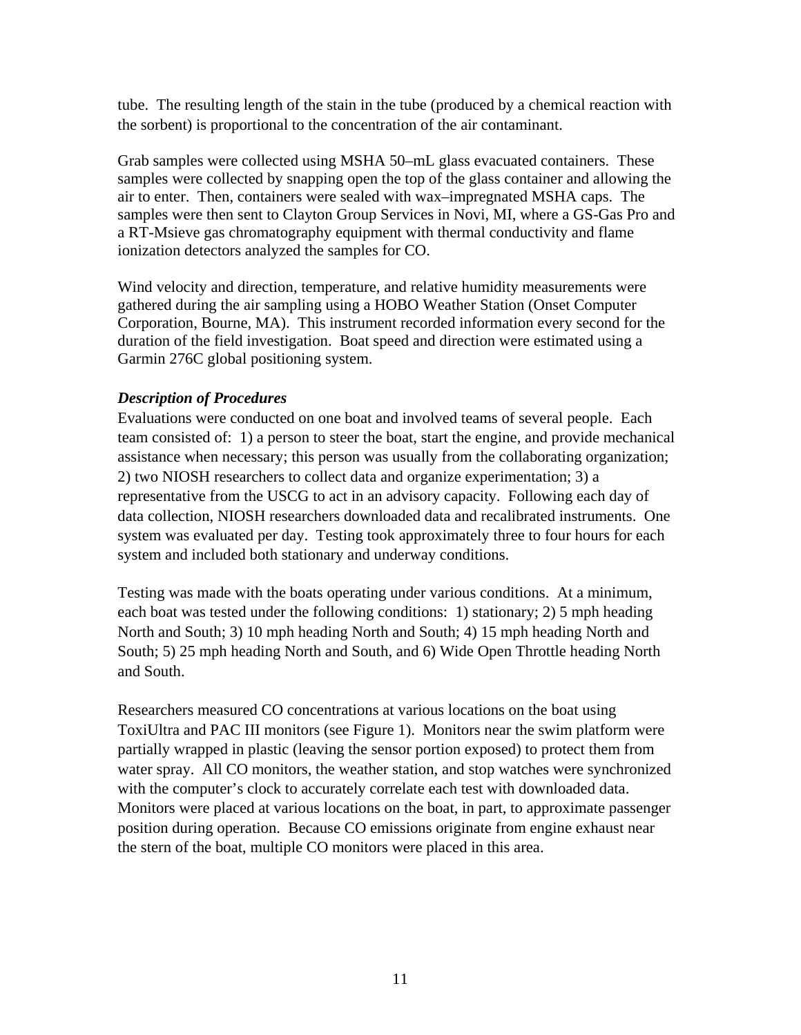tube. The resulting length of the stain in the tube (produced by a chemical reaction with the sorbent) is proportional to the concentration of the air contaminant.

Grab samples were collected using MSHA 50–mL glass evacuated containers. These samples were collected by snapping open the top of the glass container and allowing the air to enter. Then, containers were sealed with wax–impregnated MSHA caps. The samples were then sent to Clayton Group Services in Novi, MI, where a GS-Gas Pro and a RT-Msieve gas chromatography equipment with thermal conductivity and flame ionization detectors analyzed the samples for CO.

Wind velocity and direction, temperature, and relative humidity measurements were gathered during the air sampling using a HOBO Weather Station (Onset Computer Corporation, Bourne, MA). This instrument recorded information every second for the duration of the field investigation. Boat speed and direction were estimated using a Garmin 276C global positioning system.

## *Description of Procedures*

Evaluations were conducted on one boat and involved teams of several people. Each team consisted of: 1) a person to steer the boat, start the engine, and provide mechanical assistance when necessary; this person was usually from the collaborating organization; 2) two NIOSH researchers to collect data and organize experimentation; 3) a representative from the USCG to act in an advisory capacity. Following each day of data collection, NIOSH researchers downloaded data and recalibrated instruments. One system was evaluated per day. Testing took approximately three to four hours for each system and included both stationary and underway conditions.

Testing was made with the boats operating under various conditions. At a minimum, each boat was tested under the following conditions: 1) stationary; 2) 5 mph heading North and South; 3) 10 mph heading North and South; 4) 15 mph heading North and South; 5) 25 mph heading North and South, and 6) Wide Open Throttle heading North and South.

Researchers measured CO concentrations at various locations on the boat using ToxiUltra and PAC III monitors (see Figure 1). Monitors near the swim platform were partially wrapped in plastic (leaving the sensor portion exposed) to protect them from water spray. All CO monitors, the weather station, and stop watches were synchronized with the computer's clock to accurately correlate each test with downloaded data. Monitors were placed at various locations on the boat, in part, to approximate passenger position during operation. Because CO emissions originate from engine exhaust near the stern of the boat, multiple CO monitors were placed in this area.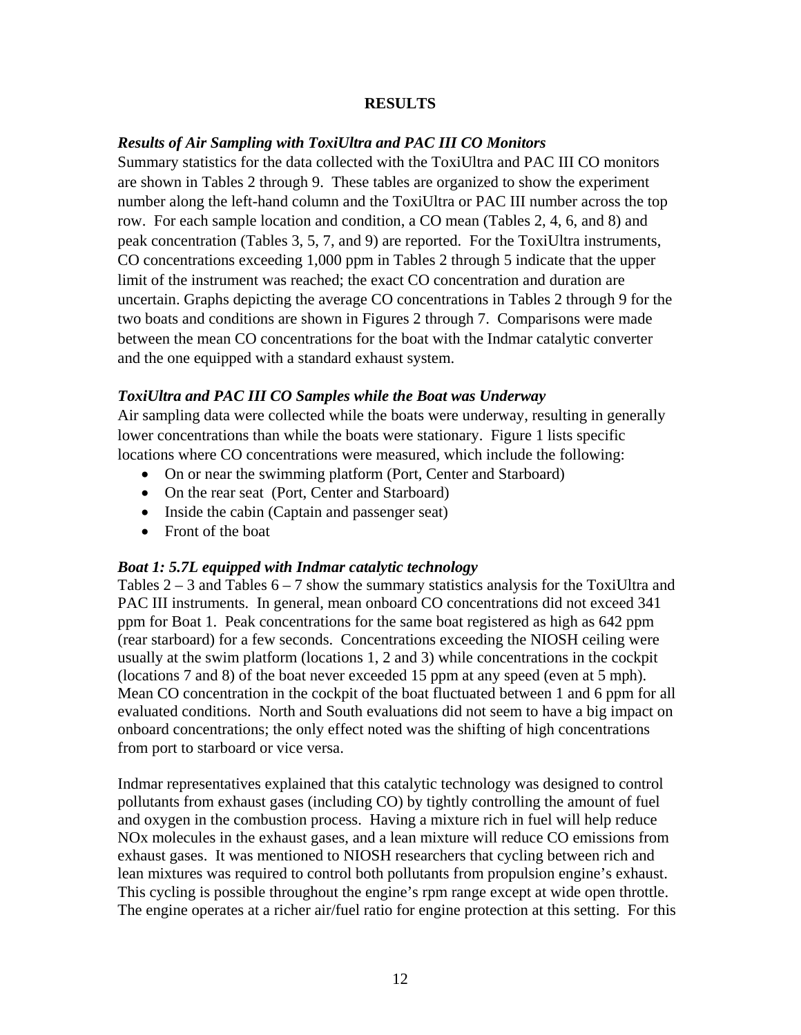## **RESULTS**

## *Results of Air Sampling with ToxiUltra and PAC III CO Monitors*

Summary statistics for the data collected with the ToxiUltra and PAC III CO monitors are shown in Tables 2 through 9. These tables are organized to show the experiment number along the left-hand column and the ToxiUltra or PAC III number across the top row. For each sample location and condition, a CO mean (Tables 2, 4, 6, and 8) and peak concentration (Tables 3, 5, 7, and 9) are reported. For the ToxiUltra instruments, CO concentrations exceeding 1,000 ppm in Tables 2 through 5 indicate that the upper limit of the instrument was reached; the exact CO concentration and duration are uncertain. Graphs depicting the average CO concentrations in Tables 2 through 9 for the two boats and conditions are shown in Figures 2 through 7. Comparisons were made between the mean CO concentrations for the boat with the Indmar catalytic converter and the one equipped with a standard exhaust system.

## *ToxiUltra and PAC III CO Samples while the Boat was Underway*

Air sampling data were collected while the boats were underway, resulting in generally lower concentrations than while the boats were stationary. Figure 1 lists specific locations where CO concentrations were measured, which include the following:

- On or near the swimming platform (Port, Center and Starboard)
- On the rear seat (Port, Center and Starboard)
- Inside the cabin (Captain and passenger seat)
- Front of the boat

## *Boat 1: 5.7L equipped with Indmar catalytic technology*

Tables  $2 - 3$  and Tables  $6 - 7$  show the summary statistics analysis for the ToxiUltra and PAC III instruments. In general, mean onboard CO concentrations did not exceed 341 ppm for Boat 1. Peak concentrations for the same boat registered as high as 642 ppm (rear starboard) for a few seconds. Concentrations exceeding the NIOSH ceiling were usually at the swim platform (locations 1, 2 and 3) while concentrations in the cockpit (locations 7 and 8) of the boat never exceeded 15 ppm at any speed (even at 5 mph). Mean CO concentration in the cockpit of the boat fluctuated between 1 and 6 ppm for all evaluated conditions. North and South evaluations did not seem to have a big impact on onboard concentrations; the only effect noted was the shifting of high concentrations from port to starboard or vice versa.

Indmar representatives explained that this catalytic technology was designed to control pollutants from exhaust gases (including CO) by tightly controlling the amount of fuel and oxygen in the combustion process. Having a mixture rich in fuel will help reduce NOx molecules in the exhaust gases, and a lean mixture will reduce CO emissions from exhaust gases. It was mentioned to NIOSH researchers that cycling between rich and lean mixtures was required to control both pollutants from propulsion engine's exhaust. This cycling is possible throughout the engine's rpm range except at wide open throttle. The engine operates at a richer air/fuel ratio for engine protection at this setting. For this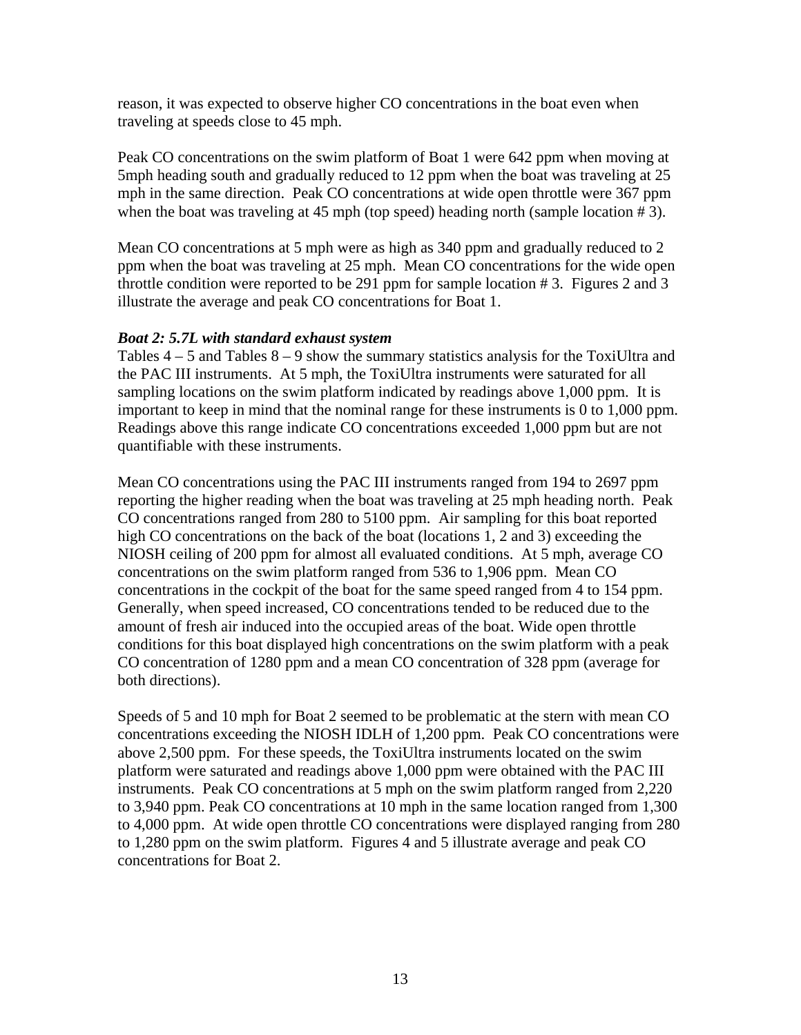reason, it was expected to observe higher CO concentrations in the boat even when traveling at speeds close to 45 mph.

Peak CO concentrations on the swim platform of Boat 1 were 642 ppm when moving at 5mph heading south and gradually reduced to 12 ppm when the boat was traveling at 25 mph in the same direction. Peak CO concentrations at wide open throttle were 367 ppm when the boat was traveling at 45 mph (top speed) heading north (sample location #3).

Mean CO concentrations at 5 mph were as high as 340 ppm and gradually reduced to 2 ppm when the boat was traveling at 25 mph. Mean CO concentrations for the wide open throttle condition were reported to be 291 ppm for sample location # 3. Figures 2 and 3 illustrate the average and peak CO concentrations for Boat 1.

## *Boat 2: 5.7L with standard exhaust system*

Tables  $4 - 5$  and Tables  $8 - 9$  show the summary statistics analysis for the ToxiUltra and the PAC III instruments. At 5 mph, the ToxiUltra instruments were saturated for all sampling locations on the swim platform indicated by readings above 1,000 ppm. It is important to keep in mind that the nominal range for these instruments is 0 to 1,000 ppm. Readings above this range indicate CO concentrations exceeded 1,000 ppm but are not quantifiable with these instruments.

Mean CO concentrations using the PAC III instruments ranged from 194 to 2697 ppm reporting the higher reading when the boat was traveling at 25 mph heading north. Peak CO concentrations ranged from 280 to 5100 ppm. Air sampling for this boat reported high CO concentrations on the back of the boat (locations 1, 2 and 3) exceeding the NIOSH ceiling of 200 ppm for almost all evaluated conditions. At 5 mph, average CO concentrations on the swim platform ranged from 536 to 1,906 ppm. Mean CO concentrations in the cockpit of the boat for the same speed ranged from 4 to 154 ppm. Generally, when speed increased, CO concentrations tended to be reduced due to the amount of fresh air induced into the occupied areas of the boat. Wide open throttle conditions for this boat displayed high concentrations on the swim platform with a peak CO concentration of 1280 ppm and a mean CO concentration of 328 ppm (average for both directions).

Speeds of 5 and 10 mph for Boat 2 seemed to be problematic at the stern with mean CO concentrations exceeding the NIOSH IDLH of 1,200 ppm. Peak CO concentrations were above 2,500 ppm. For these speeds, the ToxiUltra instruments located on the swim platform were saturated and readings above 1,000 ppm were obtained with the PAC III instruments. Peak CO concentrations at 5 mph on the swim platform ranged from 2,220 to 3,940 ppm. Peak CO concentrations at 10 mph in the same location ranged from 1,300 to 4,000 ppm. At wide open throttle CO concentrations were displayed ranging from 280 to 1,280 ppm on the swim platform. Figures 4 and 5 illustrate average and peak CO concentrations for Boat 2.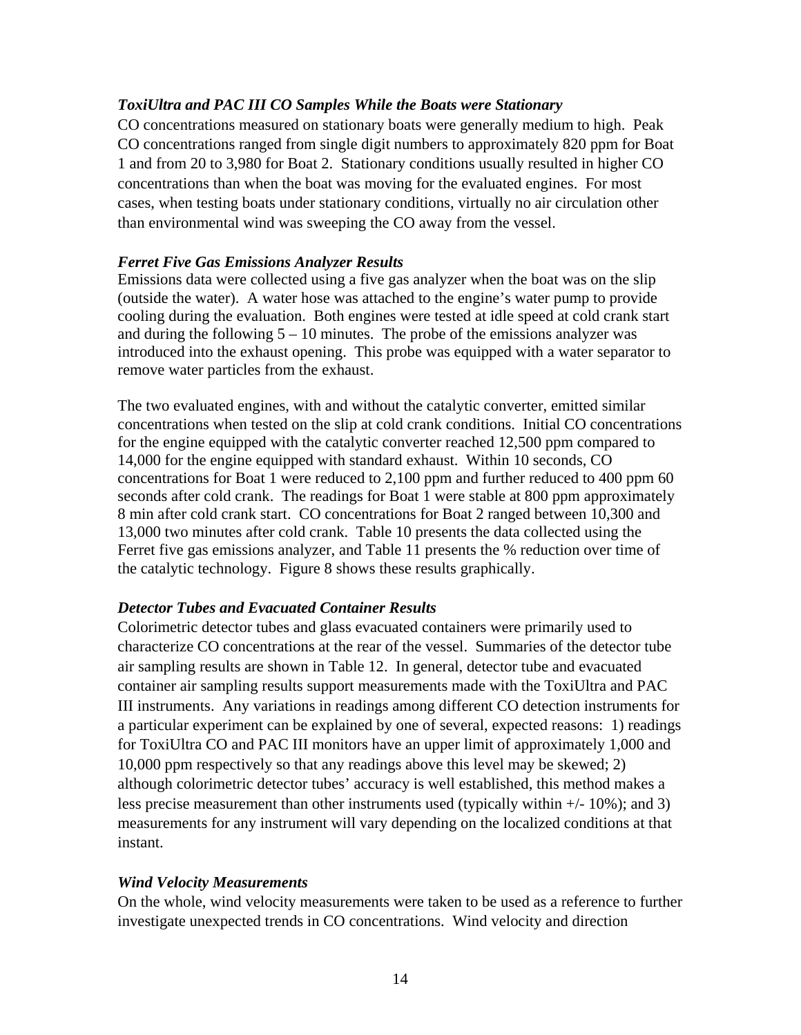## *ToxiUltra and PAC III CO Samples While the Boats were Stationary*

CO concentrations measured on stationary boats were generally medium to high. Peak CO concentrations ranged from single digit numbers to approximately 820 ppm for Boat 1 and from 20 to 3,980 for Boat 2. Stationary conditions usually resulted in higher CO concentrations than when the boat was moving for the evaluated engines. For most cases, when testing boats under stationary conditions, virtually no air circulation other than environmental wind was sweeping the CO away from the vessel.

#### *Ferret Five Gas Emissions Analyzer Results*

Emissions data were collected using a five gas analyzer when the boat was on the slip (outside the water). A water hose was attached to the engine's water pump to provide cooling during the evaluation. Both engines were tested at idle speed at cold crank start and during the following  $5 - 10$  minutes. The probe of the emissions analyzer was introduced into the exhaust opening. This probe was equipped with a water separator to remove water particles from the exhaust.

The two evaluated engines, with and without the catalytic converter, emitted similar concentrations when tested on the slip at cold crank conditions. Initial CO concentrations for the engine equipped with the catalytic converter reached 12,500 ppm compared to 14,000 for the engine equipped with standard exhaust. Within 10 seconds, CO concentrations for Boat 1 were reduced to 2,100 ppm and further reduced to 400 ppm 60 seconds after cold crank. The readings for Boat 1 were stable at 800 ppm approximately 8 min after cold crank start. CO concentrations for Boat 2 ranged between 10,300 and 13,000 two minutes after cold crank. Table 10 presents the data collected using the Ferret five gas emissions analyzer, and Table 11 presents the % reduction over time of the catalytic technology. Figure 8 shows these results graphically.

## *Detector Tubes and Evacuated Container Results*

Colorimetric detector tubes and glass evacuated containers were primarily used to characterize CO concentrations at the rear of the vessel. Summaries of the detector tube air sampling results are shown in Table 12. In general, detector tube and evacuated container air sampling results support measurements made with the ToxiUltra and PAC III instruments. Any variations in readings among different CO detection instruments for a particular experiment can be explained by one of several, expected reasons: 1) readings for ToxiUltra CO and PAC III monitors have an upper limit of approximately 1,000 and 10,000 ppm respectively so that any readings above this level may be skewed; 2) although colorimetric detector tubes' accuracy is well established, this method makes a less precise measurement than other instruments used (typically within +/- 10%); and 3) measurements for any instrument will vary depending on the localized conditions at that instant.

#### *Wind Velocity Measurements*

On the whole, wind velocity measurements were taken to be used as a reference to further investigate unexpected trends in CO concentrations. Wind velocity and direction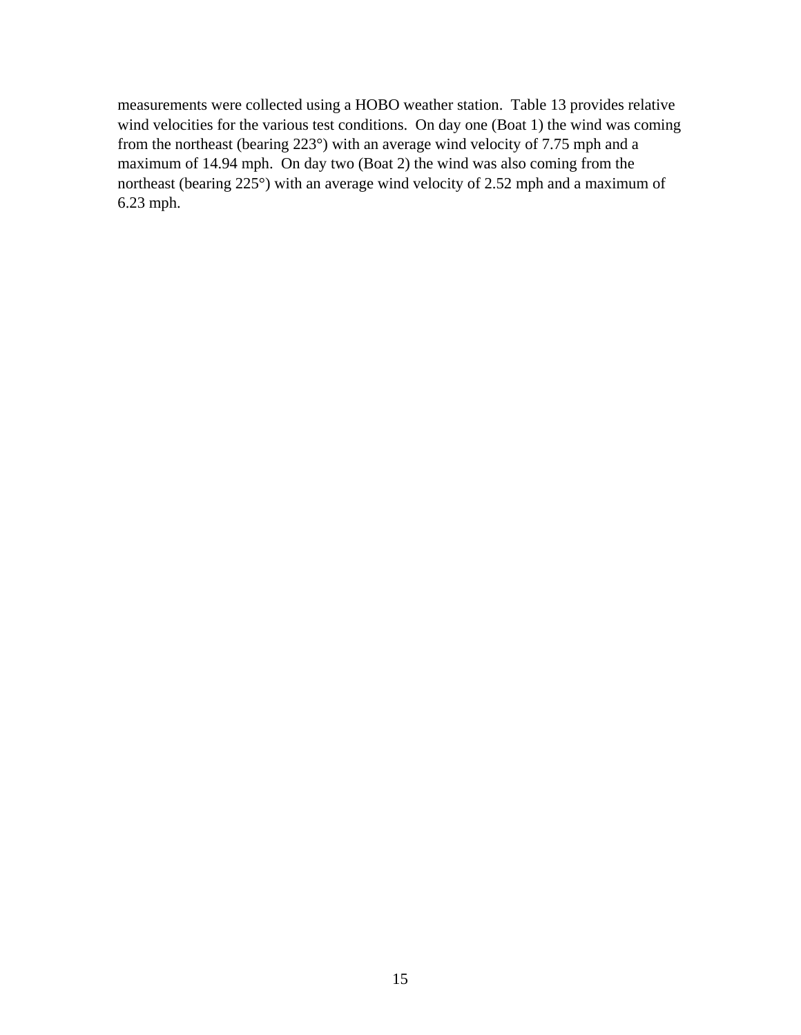measurements were collected using a HOBO weather station. Table 13 provides relative wind velocities for the various test conditions. On day one (Boat 1) the wind was coming from the northeast (bearing 223°) with an average wind velocity of 7.75 mph and a maximum of 14.94 mph. On day two (Boat 2) the wind was also coming from the northeast (bearing 225°) with an average wind velocity of 2.52 mph and a maximum of 6.23 mph.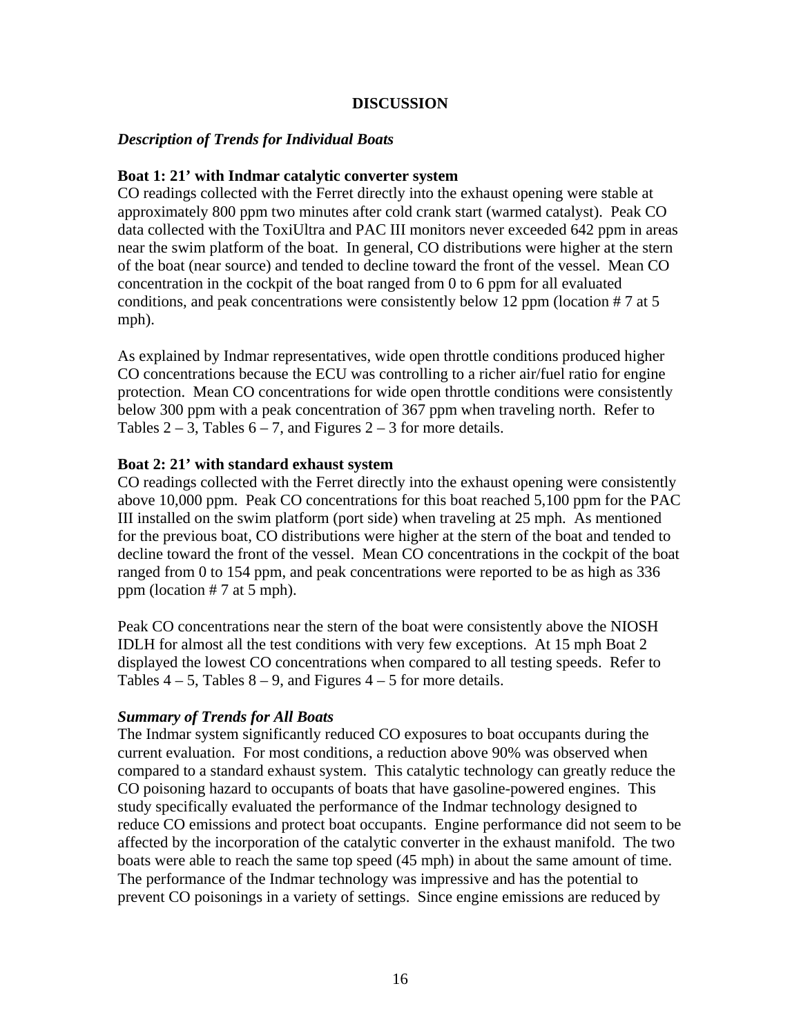## **DISCUSSION**

## *Description of Trends for Individual Boats*

## **Boat 1: 21' with Indmar catalytic converter system**

CO readings collected with the Ferret directly into the exhaust opening were stable at approximately 800 ppm two minutes after cold crank start (warmed catalyst). Peak CO data collected with the ToxiUltra and PAC III monitors never exceeded 642 ppm in areas near the swim platform of the boat. In general, CO distributions were higher at the stern of the boat (near source) and tended to decline toward the front of the vessel. Mean CO concentration in the cockpit of the boat ranged from 0 to 6 ppm for all evaluated conditions, and peak concentrations were consistently below 12 ppm (location # 7 at 5 mph).

As explained by Indmar representatives, wide open throttle conditions produced higher CO concentrations because the ECU was controlling to a richer air/fuel ratio for engine protection. Mean CO concentrations for wide open throttle conditions were consistently below 300 ppm with a peak concentration of 367 ppm when traveling north. Refer to Tables  $2 - 3$ , Tables  $6 - 7$ , and Figures  $2 - 3$  for more details.

#### **Boat 2: 21' with standard exhaust system**

CO readings collected with the Ferret directly into the exhaust opening were consistently above 10,000 ppm. Peak CO concentrations for this boat reached 5,100 ppm for the PAC III installed on the swim platform (port side) when traveling at 25 mph. As mentioned for the previous boat, CO distributions were higher at the stern of the boat and tended to decline toward the front of the vessel. Mean CO concentrations in the cockpit of the boat ranged from 0 to 154 ppm, and peak concentrations were reported to be as high as 336 ppm (location # 7 at 5 mph).

Peak CO concentrations near the stern of the boat were consistently above the NIOSH IDLH for almost all the test conditions with very few exceptions. At 15 mph Boat 2 displayed the lowest CO concentrations when compared to all testing speeds. Refer to Tables  $4 - 5$ , Tables  $8 - 9$ , and Figures  $4 - 5$  for more details.

## *Summary of Trends for All Boats*

The Indmar system significantly reduced CO exposures to boat occupants during the current evaluation. For most conditions, a reduction above 90% was observed when compared to a standard exhaust system. This catalytic technology can greatly reduce the CO poisoning hazard to occupants of boats that have gasoline-powered engines. This study specifically evaluated the performance of the Indmar technology designed to reduce CO emissions and protect boat occupants. Engine performance did not seem to be affected by the incorporation of the catalytic converter in the exhaust manifold. The two boats were able to reach the same top speed (45 mph) in about the same amount of time. The performance of the Indmar technology was impressive and has the potential to prevent CO poisonings in a variety of settings. Since engine emissions are reduced by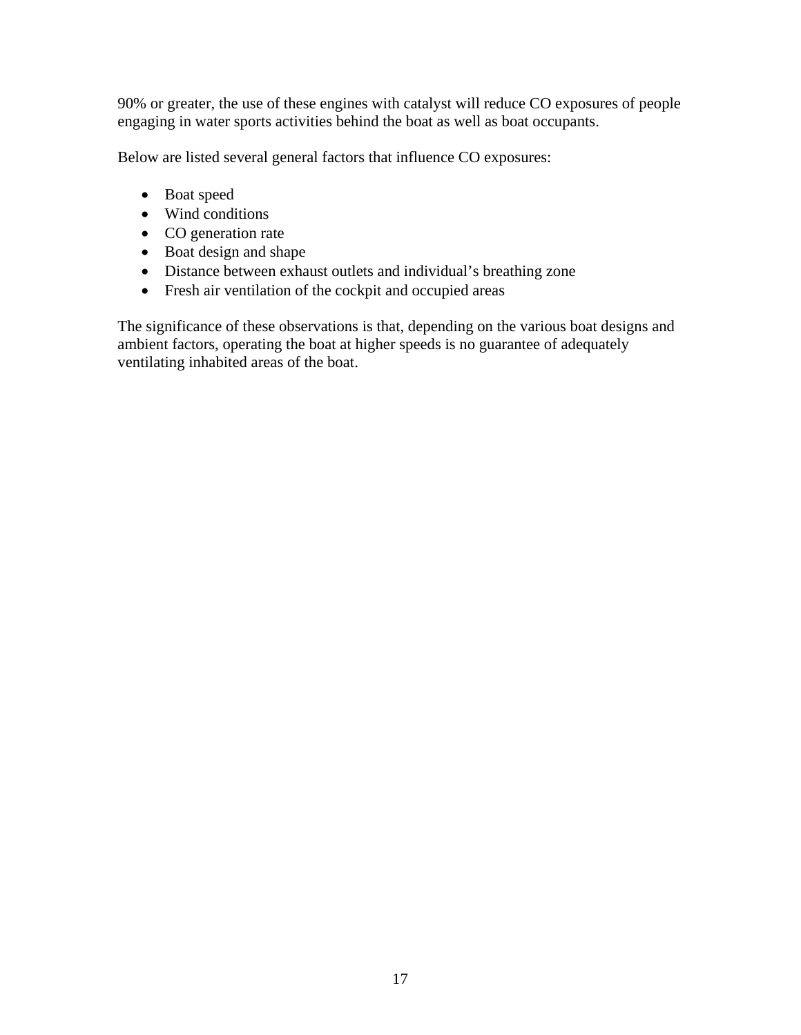90% or greater, the use of these engines with catalyst will reduce CO exposures of people engaging in water sports activities behind the boat as well as boat occupants.

Below are listed several general factors that influence CO exposures:

- Boat speed
- Wind conditions
- CO generation rate
- Boat design and shape
- Distance between exhaust outlets and individual's breathing zone
- Fresh air ventilation of the cockpit and occupied areas

The significance of these observations is that, depending on the various boat designs and ambient factors, operating the boat at higher speeds is no guarantee of adequately ventilating inhabited areas of the boat.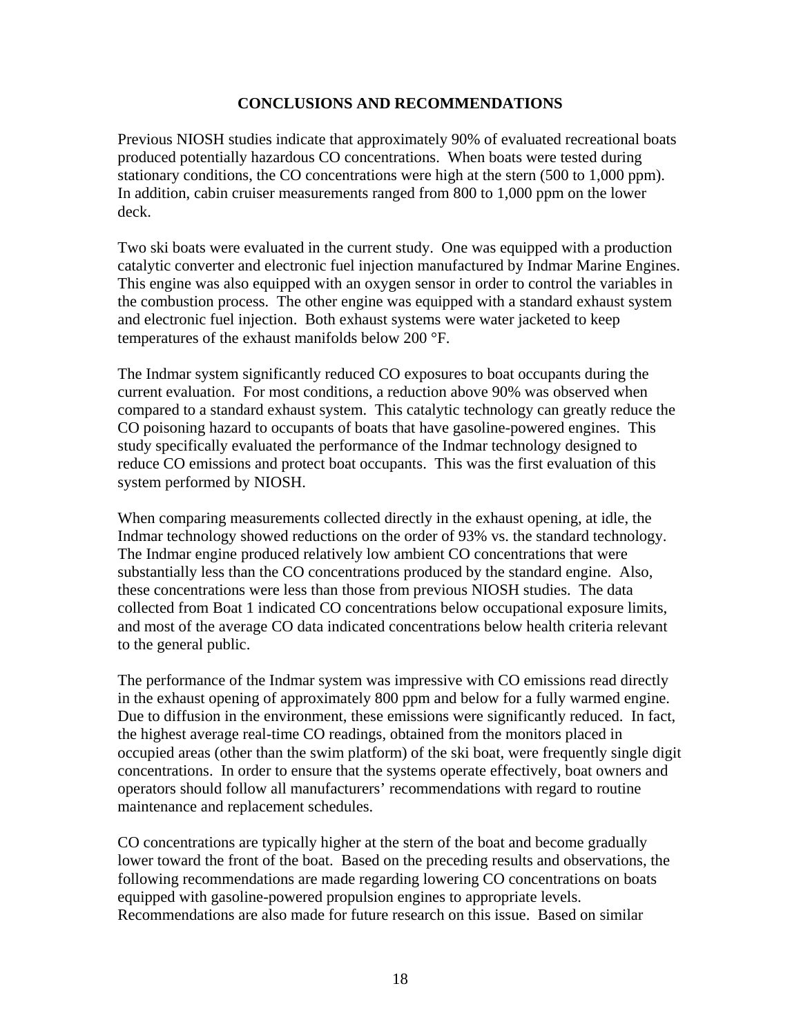## **CONCLUSIONS AND RECOMMENDATIONS**

Previous NIOSH studies indicate that approximately 90% of evaluated recreational boats produced potentially hazardous CO concentrations. When boats were tested during stationary conditions, the CO concentrations were high at the stern (500 to 1,000 ppm). In addition, cabin cruiser measurements ranged from 800 to 1,000 ppm on the lower deck.

Two ski boats were evaluated in the current study. One was equipped with a production catalytic converter and electronic fuel injection manufactured by Indmar Marine Engines. This engine was also equipped with an oxygen sensor in order to control the variables in the combustion process. The other engine was equipped with a standard exhaust system and electronic fuel injection. Both exhaust systems were water jacketed to keep temperatures of the exhaust manifolds below 200 °F.

The Indmar system significantly reduced CO exposures to boat occupants during the current evaluation. For most conditions, a reduction above 90% was observed when compared to a standard exhaust system. This catalytic technology can greatly reduce the CO poisoning hazard to occupants of boats that have gasoline-powered engines. This study specifically evaluated the performance of the Indmar technology designed to reduce CO emissions and protect boat occupants. This was the first evaluation of this system performed by NIOSH.

When comparing measurements collected directly in the exhaust opening, at idle, the Indmar technology showed reductions on the order of 93% vs. the standard technology. The Indmar engine produced relatively low ambient CO concentrations that were substantially less than the CO concentrations produced by the standard engine. Also, these concentrations were less than those from previous NIOSH studies. The data collected from Boat 1 indicated CO concentrations below occupational exposure limits, and most of the average CO data indicated concentrations below health criteria relevant to the general public.

The performance of the Indmar system was impressive with CO emissions read directly in the exhaust opening of approximately 800 ppm and below for a fully warmed engine. Due to diffusion in the environment, these emissions were significantly reduced. In fact, the highest average real-time CO readings, obtained from the monitors placed in occupied areas (other than the swim platform) of the ski boat, were frequently single digit concentrations. In order to ensure that the systems operate effectively, boat owners and operators should follow all manufacturers' recommendations with regard to routine maintenance and replacement schedules.

CO concentrations are typically higher at the stern of the boat and become gradually lower toward the front of the boat. Based on the preceding results and observations, the following recommendations are made regarding lowering CO concentrations on boats equipped with gasoline-powered propulsion engines to appropriate levels. Recommendations are also made for future research on this issue. Based on similar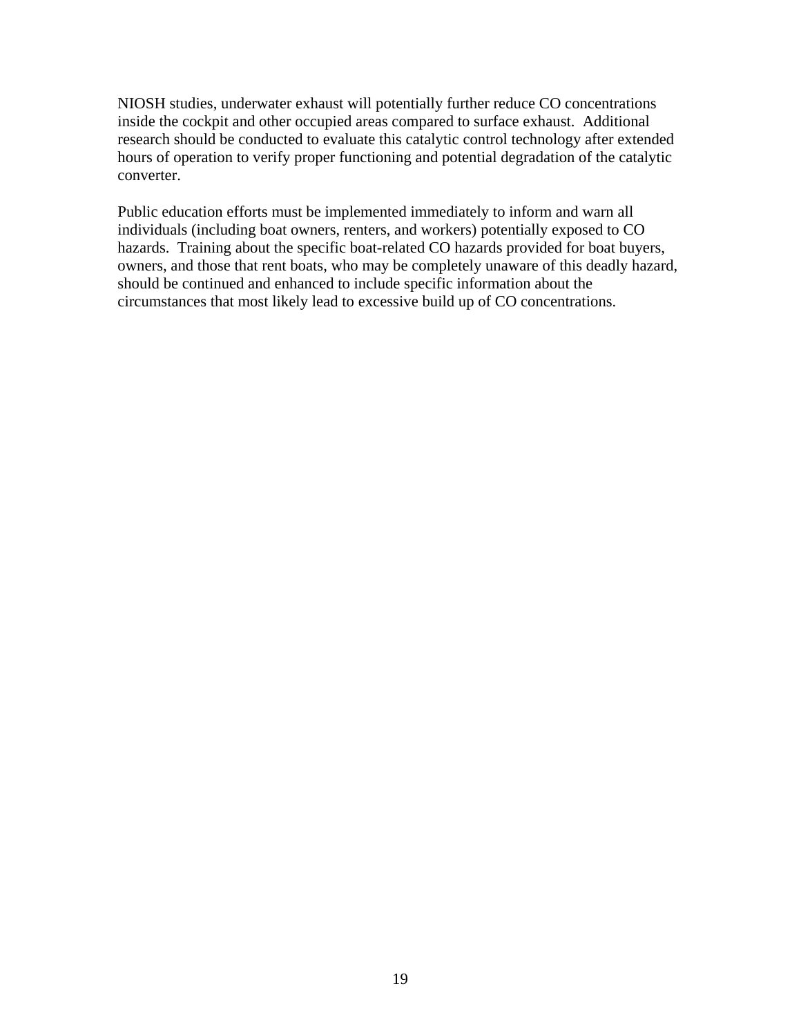NIOSH studies, underwater exhaust will potentially further reduce CO concentrations inside the cockpit and other occupied areas compared to surface exhaust. Additional research should be conducted to evaluate this catalytic control technology after extended hours of operation to verify proper functioning and potential degradation of the catalytic converter.

Public education efforts must be implemented immediately to inform and warn all individuals (including boat owners, renters, and workers) potentially exposed to CO hazards. Training about the specific boat-related CO hazards provided for boat buyers, owners, and those that rent boats, who may be completely unaware of this deadly hazard, should be continued and enhanced to include specific information about the circumstances that most likely lead to excessive build up of CO concentrations.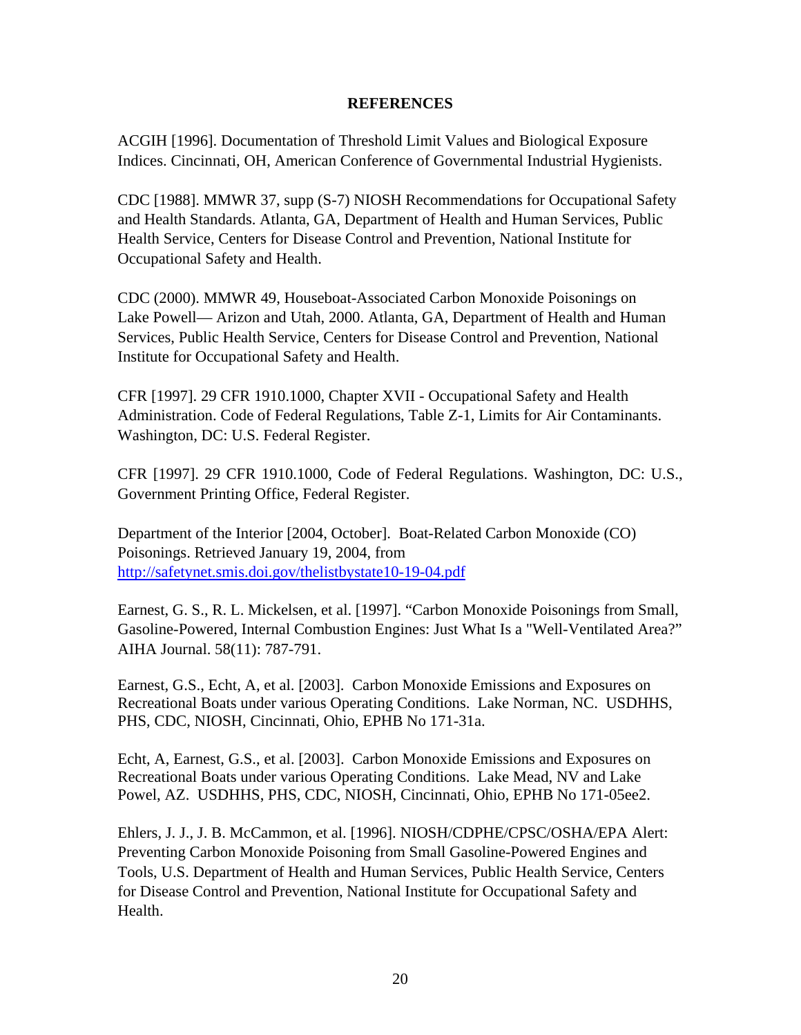## **REFERENCES**

ACGIH [1996]. Documentation of Threshold Limit Values and Biological Exposure Indices. Cincinnati, OH, American Conference of Governmental Industrial Hygienists.

CDC [1988]. MMWR 37, supp (S-7) NIOSH Recommendations for Occupational Safety and Health Standards. Atlanta, GA, Department of Health and Human Services, Public Health Service, Centers for Disease Control and Prevention, National Institute for Occupational Safety and Health.

CDC (2000). MMWR 49, Houseboat-Associated Carbon Monoxide Poisonings on Lake Powell— Arizon and Utah, 2000. Atlanta, GA, Department of Health and Human Services, Public Health Service, Centers for Disease Control and Prevention, National Institute for Occupational Safety and Health.

CFR [1997]. 29 CFR 1910.1000, Chapter XVII - Occupational Safety and Health Administration. Code of Federal Regulations, Table Z-1, Limits for Air Contaminants. Washington, DC: U.S. Federal Register.

CFR [1997]. 29 CFR 1910.1000, Code of Federal Regulations. Washington, DC: U.S., Government Printing Office, Federal Register.

Department of the Interior [2004, October]. Boat-Related Carbon Monoxide (CO) Poisonings. Retrieved January 19, 2004, from http://safetynet.smis.doi.gov/thelistbystate10-19-04.pdf

Earnest, G. S., R. L. Mickelsen, et al. [1997]. "Carbon Monoxide Poisonings from Small, Gasoline-Powered, Internal Combustion Engines: Just What Is a "Well-Ventilated Area?" AIHA Journal. 58(11): 787-791.

Earnest, G.S., Echt, A, et al. [2003]. Carbon Monoxide Emissions and Exposures on Recreational Boats under various Operating Conditions. Lake Norman, NC. USDHHS, PHS, CDC, NIOSH, Cincinnati, Ohio, EPHB No 171-31a.

Echt, A, Earnest, G.S., et al. [2003]. Carbon Monoxide Emissions and Exposures on Recreational Boats under various Operating Conditions. Lake Mead, NV and Lake Powel, AZ. USDHHS, PHS, CDC, NIOSH, Cincinnati, Ohio, EPHB No 171-05ee2.

Ehlers, J. J., J. B. McCammon, et al. [1996]. NIOSH/CDPHE/CPSC/OSHA/EPA Alert: Preventing Carbon Monoxide Poisoning from Small Gasoline-Powered Engines and Tools, U.S. Department of Health and Human Services, Public Health Service, Centers for Disease Control and Prevention, National Institute for Occupational Safety and Health.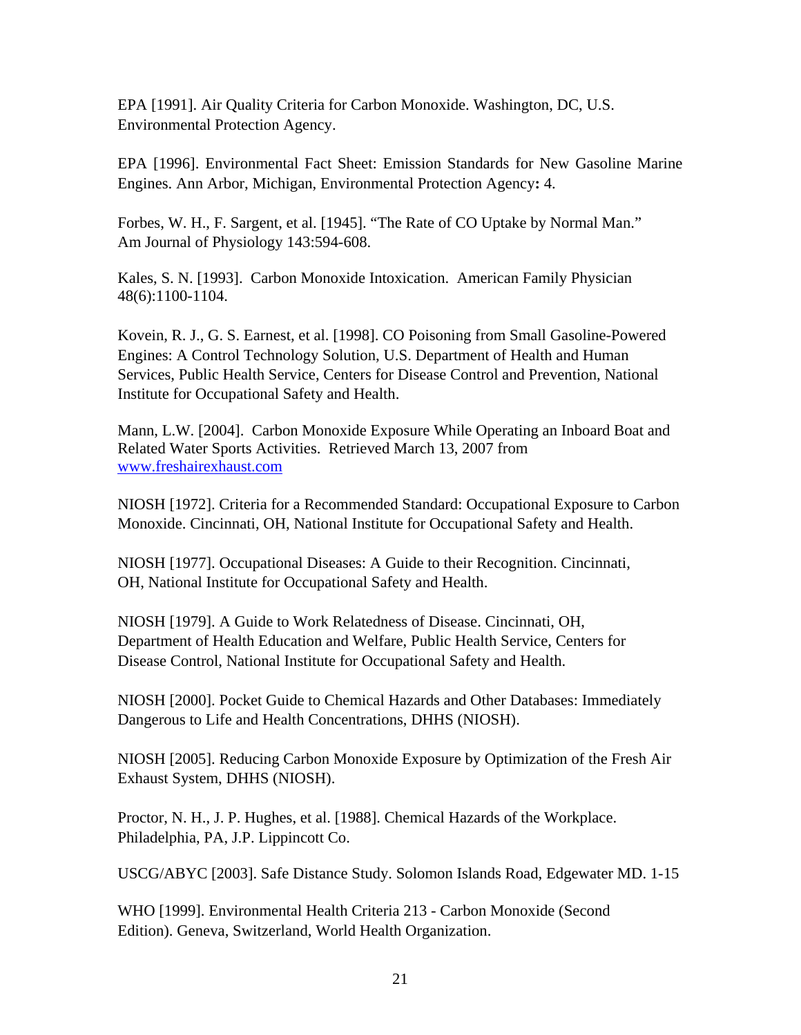EPA [1991]. Air Quality Criteria for Carbon Monoxide. Washington, DC, U.S. Environmental Protection Agency.

EPA [1996]. Environmental Fact Sheet: Emission Standards for New Gasoline Marine Engines. Ann Arbor, Michigan, Environmental Protection Agency**:** 4.

Forbes, W. H., F. Sargent, et al. [1945]. "The Rate of CO Uptake by Normal Man." Am Journal of Physiology 143:594-608.

Kales, S. N. [1993]. Carbon Monoxide Intoxication. American Family Physician 48(6):1100-1104.

Kovein, R. J., G. S. Earnest, et al. [1998]. CO Poisoning from Small Gasoline-Powered Engines: A Control Technology Solution, U.S. Department of Health and Human Services, Public Health Service, Centers for Disease Control and Prevention, National Institute for Occupational Safety and Health.

Mann, L.W. [2004]. Carbon Monoxide Exposure While Operating an Inboard Boat and Related Water Sports Activities. Retrieved March 13, 2007 from www.freshairexhaust.com

NIOSH [1972]. Criteria for a Recommended Standard: Occupational Exposure to Carbon Monoxide. Cincinnati, OH, National Institute for Occupational Safety and Health.

NIOSH [1977]. Occupational Diseases: A Guide to their Recognition. Cincinnati, OH, National Institute for Occupational Safety and Health.

NIOSH [1979]. A Guide to Work Relatedness of Disease. Cincinnati, OH, Department of Health Education and Welfare, Public Health Service, Centers for Disease Control, National Institute for Occupational Safety and Health.

NIOSH [2000]. Pocket Guide to Chemical Hazards and Other Databases: Immediately Dangerous to Life and Health Concentrations, DHHS (NIOSH).

NIOSH [2005]. Reducing Carbon Monoxide Exposure by Optimization of the Fresh Air Exhaust System, DHHS (NIOSH).

Proctor, N. H., J. P. Hughes, et al. [1988]. Chemical Hazards of the Workplace. Philadelphia, PA, J.P. Lippincott Co.

USCG/ABYC [2003]. Safe Distance Study. Solomon Islands Road, Edgewater MD. 1-15

WHO [1999]. Environmental Health Criteria 213 - Carbon Monoxide (Second Edition). Geneva, Switzerland, World Health Organization.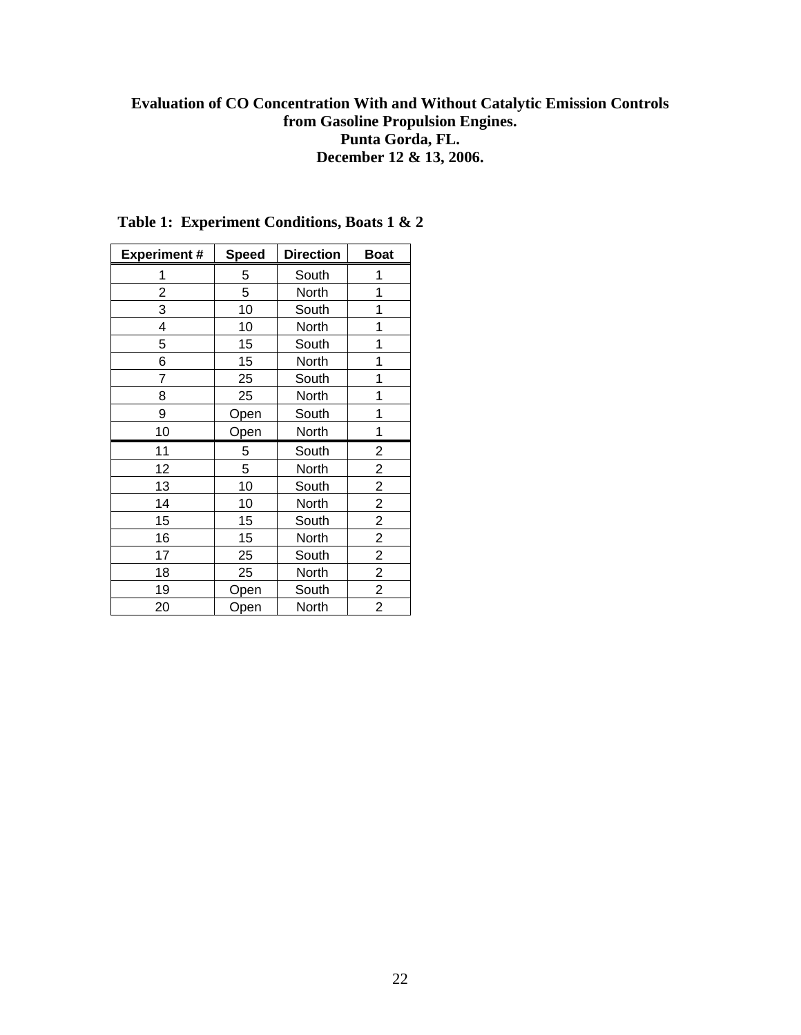## **Evaluation of CO Concentration With and Without Catalytic Emission Controls from Gasoline Propulsion Engines. Punta Gorda, FL. December 12 & 13, 2006.**

| <b>Experiment#</b> | <b>Speed</b> | <b>Direction</b>       | <b>Boat</b>             |
|--------------------|--------------|------------------------|-------------------------|
| 1                  | 5            | South                  | 1                       |
| 2                  | 5            | North                  | 1                       |
| 3                  | 10           | South                  | 1                       |
| 4                  | 10           | North                  | 1                       |
| 5                  | 15           | South                  | 1                       |
| 6                  | 15           | North                  | 1                       |
| 7                  | 25           | South                  | 1                       |
| 8                  | 25           | North                  | 1                       |
| 9                  | Open         | South                  | 1                       |
| 10                 | Open         | North                  | 1                       |
| 11                 | 5            | South                  | 2                       |
| 12                 | 5            | North                  | $\overline{c}$          |
| 13                 | 10           | South                  | $\overline{\mathbf{c}}$ |
| 14                 | 10           | North                  | $\overline{2}$          |
| 15                 | 15           | South                  | $\overline{c}$          |
| 16                 | 15           | North                  | $\overline{\mathbf{c}}$ |
| 17                 | 25           | South                  | $\overline{2}$          |
| 18                 | 25           | North                  |                         |
| 19                 | Open         | $\frac{2}{2}$<br>South |                         |
| 20                 | Open         | North                  | $\overline{2}$          |

## **Table 1: Experiment Conditions, Boats 1 & 2**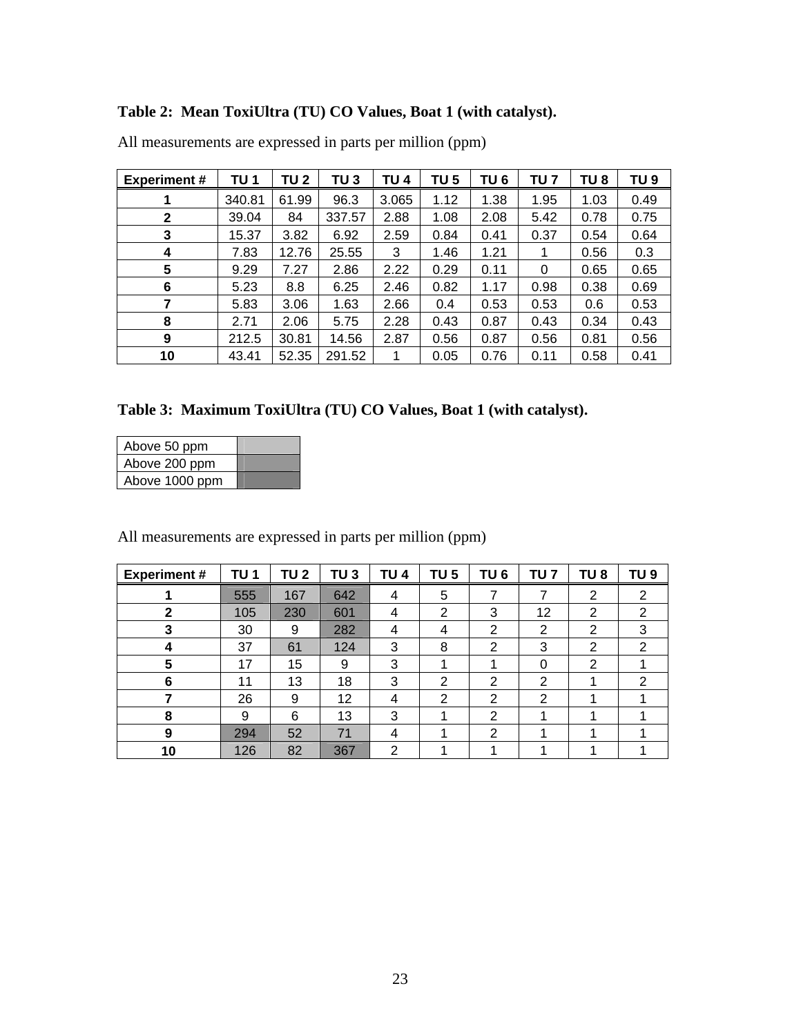## **Table 2: Mean ToxiUltra (TU) CO Values, Boat 1 (with catalyst).**

| <b>Experiment#</b> | TU 1   | TU 2  | TU 3   | TU 4  | TU 5 | TU <sub>6</sub> | TU 7 | TU 8 | TU 9 |
|--------------------|--------|-------|--------|-------|------|-----------------|------|------|------|
|                    | 340.81 | 61.99 | 96.3   | 3.065 | 1.12 | 1.38            | 1.95 | 1.03 | 0.49 |
| $\mathbf{2}$       | 39.04  | 84    | 337.57 | 2.88  | 1.08 | 2.08            | 5.42 | 0.78 | 0.75 |
| 3                  | 15.37  | 3.82  | 6.92   | 2.59  | 0.84 | 0.41            | 0.37 | 0.54 | 0.64 |
| 4                  | 7.83   | 12.76 | 25.55  | 3     | 1.46 | 1.21            |      | 0.56 | 0.3  |
| 5                  | 9.29   | 7.27  | 2.86   | 2.22  | 0.29 | 0.11            | 0    | 0.65 | 0.65 |
| 6                  | 5.23   | 8.8   | 6.25   | 2.46  | 0.82 | 1.17            | 0.98 | 0.38 | 0.69 |
| 7                  | 5.83   | 3.06  | 1.63   | 2.66  | 0.4  | 0.53            | 0.53 | 0.6  | 0.53 |
| 8                  | 2.71   | 2.06  | 5.75   | 2.28  | 0.43 | 0.87            | 0.43 | 0.34 | 0.43 |
| 9                  | 212.5  | 30.81 | 14.56  | 2.87  | 0.56 | 0.87            | 0.56 | 0.81 | 0.56 |
| 10                 | 43.41  | 52.35 | 291.52 |       | 0.05 | 0.76            | 0.11 | 0.58 | 0.41 |

All measurements are expressed in parts per million (ppm)

## **Table 3: Maximum ToxiUltra (TU) CO Values, Boat 1 (with catalyst).**

| Above 50 ppm   |  |
|----------------|--|
| Above 200 ppm  |  |
| Above 1000 ppm |  |

| <b>Experiment#</b> | TU <sub>1</sub> | TU 2 | TU <sub>3</sub> | TU <sub>4</sub> | TU <sub>5</sub> | TU <sub>6</sub> | TU 7 | TU <sub>8</sub> | TU 9 |
|--------------------|-----------------|------|-----------------|-----------------|-----------------|-----------------|------|-----------------|------|
|                    | 555             | 167  | 642             | 4               | 5               |                 | 7    | 2               | 2    |
| 2                  | 105             | 230  | 601             | 4               | $\overline{2}$  | 3               | 12   | 2               | 2    |
| 3                  | 30              | 9    | 282             | 4               | 4               | 2               | 2    | 2               | 3    |
| 4                  | 37              | 61   | 124             | 3               | 8               | 2               | 3    | 2               | 2    |
| 5                  | 17              | 15   | 9               | 3               |                 | 4               | 0    | $\overline{2}$  |      |
| 6                  | 11              | 13   | 18              | 3               | 2               | っ               | 2    |                 | 2    |
|                    | 26              | 9    | 12              | 4               | 2               | 2               | 2    |                 |      |
| 8                  | 9               | 6    | 13              | 3               |                 | 2               | и    |                 |      |
| 9                  | 294             | 52   | 71              | 4               |                 | 2               |      |                 |      |
| 10                 | 126             | 82   | 367             | 2               |                 |                 |      |                 |      |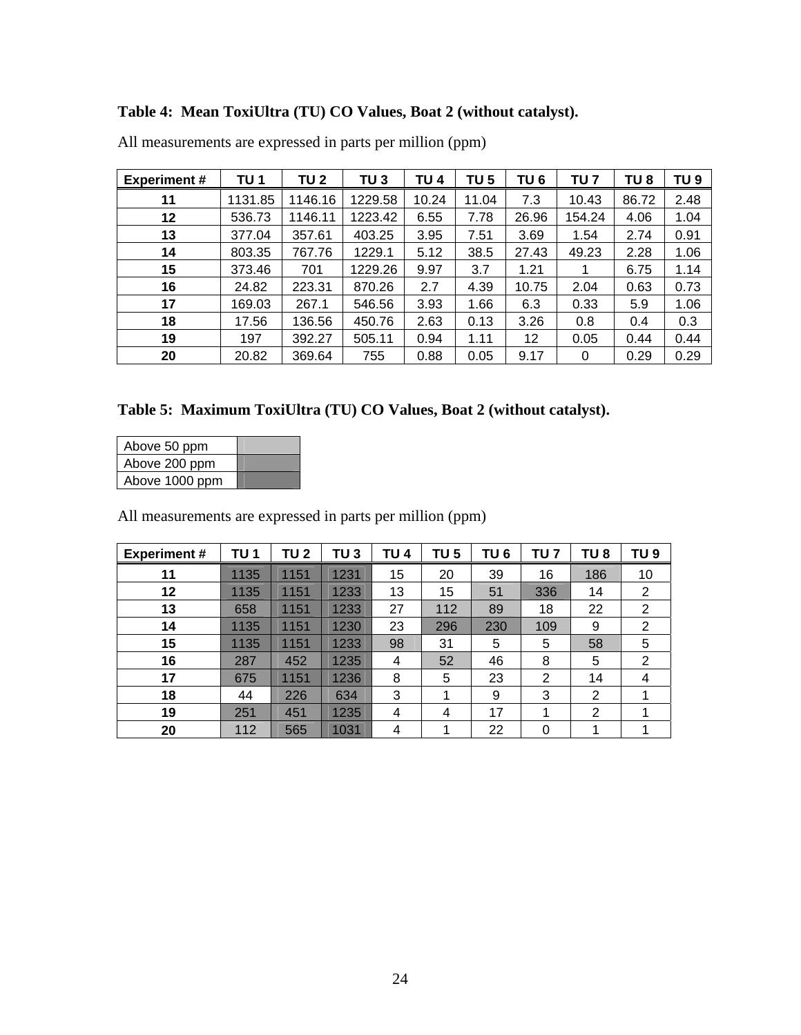# **Table 4: Mean ToxiUltra (TU) CO Values, Boat 2 (without catalyst).**

| <b>Experiment #</b> | TU 1    | <b>TU 2</b> | TU 3    | TU 4  | TU 5  | TU 6  | TU 7   | TU <sub>8</sub> | TU <sub>9</sub> |
|---------------------|---------|-------------|---------|-------|-------|-------|--------|-----------------|-----------------|
| 11                  | 1131.85 | 1146.16     | 1229.58 | 10.24 | 11.04 | 7.3   | 10.43  | 86.72           | 2.48            |
| 12                  | 536.73  | 1146.11     | 1223.42 | 6.55  | 7.78  | 26.96 | 154.24 | 4.06            | 1.04            |
| 13                  | 377.04  | 357.61      | 403.25  | 3.95  | 7.51  | 3.69  | 1.54   | 2.74            | 0.91            |
| 14                  | 803.35  | 767.76      | 1229.1  | 5.12  | 38.5  | 27.43 | 49.23  | 2.28            | 1.06            |
| 15                  | 373.46  | 701         | 1229.26 | 9.97  | 3.7   | 1.21  |        | 6.75            | 1.14            |
| 16                  | 24.82   | 223.31      | 870.26  | 2.7   | 4.39  | 10.75 | 2.04   | 0.63            | 0.73            |
| 17                  | 169.03  | 267.1       | 546.56  | 3.93  | 1.66  | 6.3   | 0.33   | 5.9             | 1.06            |
| 18                  | 17.56   | 136.56      | 450.76  | 2.63  | 0.13  | 3.26  | 0.8    | 0.4             | 0.3             |
| 19                  | 197     | 392.27      | 505.11  | 0.94  | 1.11  | 12    | 0.05   | 0.44            | 0.44            |
| 20                  | 20.82   | 369.64      | 755     | 0.88  | 0.05  | 9.17  | 0      | 0.29            | 0.29            |

All measurements are expressed in parts per million (ppm)

| Table 5: Maximum ToxiUltra (TU) CO Values, Boat 2 (without catalyst). |  |  |  |
|-----------------------------------------------------------------------|--|--|--|
|                                                                       |  |  |  |

| Above 50 ppm   |  |
|----------------|--|
| Above 200 ppm  |  |
| Above 1000 ppm |  |

| <b>Experiment#</b> | TU 1 | TU 2 | TU 3 | TU 4 | TU 5 | TU 6 | TU 7 | TU <sub>8</sub> | TU <sub>9</sub> |
|--------------------|------|------|------|------|------|------|------|-----------------|-----------------|
| 11                 | 1135 | 1151 | 1231 | 15   | 20   | 39   | 16   | 186             | 10              |
| 12                 | 1135 | 1151 | 1233 | 13   | 15   | 51   | 336  | 14              | 2               |
| 13                 | 658  | 1151 | 1233 | 27   | 112  | 89   | 18   | 22              | $\overline{2}$  |
| 14                 | 1135 | 1151 | 1230 | 23   | 296  | 230  | 109  | 9               | 2               |
| 15                 | 1135 | 1151 | 1233 | 98   | 31   | 5    | 5    | 58              | 5               |
| 16                 | 287  | 452  | 1235 | 4    | 52   | 46   | 8    | 5               | 2               |
| 17                 | 675  | 1151 | 1236 | 8    | 5    | 23   | 2    | 14              | 4               |
| 18                 | 44   | 226  | 634  | 3    | 1    | 9    | 3    | 2               |                 |
| 19                 | 251  | 451  | 1235 | 4    | 4    | 17   | 4    | $\overline{2}$  |                 |
| 20                 | 112  | 565  | 1031 | 4    | л    | 22   | 0    |                 |                 |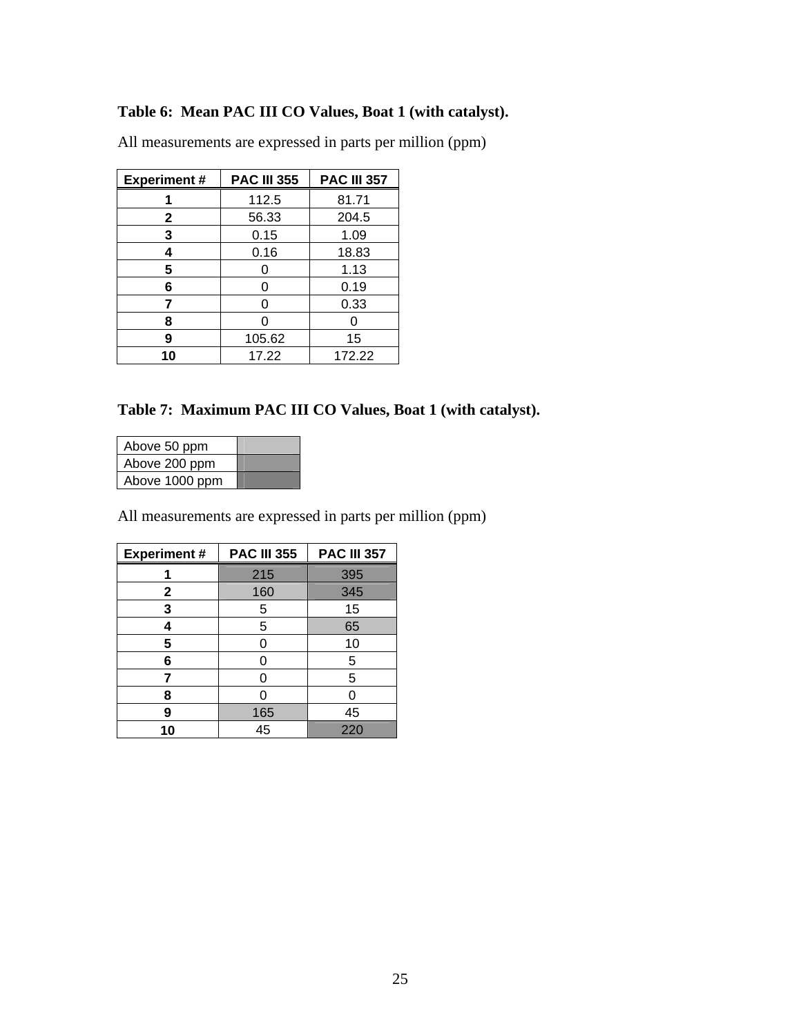## **Table 6: Mean PAC III CO Values, Boat 1 (with catalyst).**

| <b>Experiment#</b> | <b>PAC III 355</b> | <b>PAC III 357</b> |
|--------------------|--------------------|--------------------|
|                    | 112.5              | 81.71              |
| $\mathbf{2}$       | 56.33              | 204.5              |
| 3                  | 0.15               | 1.09               |
| 4                  | 0.16               | 18.83              |
| 5                  |                    | 1.13               |
| 6                  | ი                  | 0.19               |
| 7                  | ი                  | 0.33               |
| 8                  |                    |                    |
| 9                  | 105.62             | 15                 |
| 10                 | 17.22              | 172.22             |

All measurements are expressed in parts per million (ppm)

## **Table 7: Maximum PAC III CO Values, Boat 1 (with catalyst).**

| Above 50 ppm   |  |
|----------------|--|
| Above 200 ppm  |  |
| Above 1000 ppm |  |

| <b>Experiment#</b> | <b>PAC III 355</b> | <b>PAC III 357</b> |
|--------------------|--------------------|--------------------|
|                    | 215                | 395                |
| $\mathbf{2}$       | 160                | 345                |
| 3                  | 5                  | 15                 |
| 4                  | 5                  | 65                 |
| 5                  |                    | 10                 |
| 6                  |                    | 5                  |
|                    |                    | 5                  |
| 8                  |                    | O                  |
| 9                  | 165                | 45                 |
| 10                 | 45                 | 220                |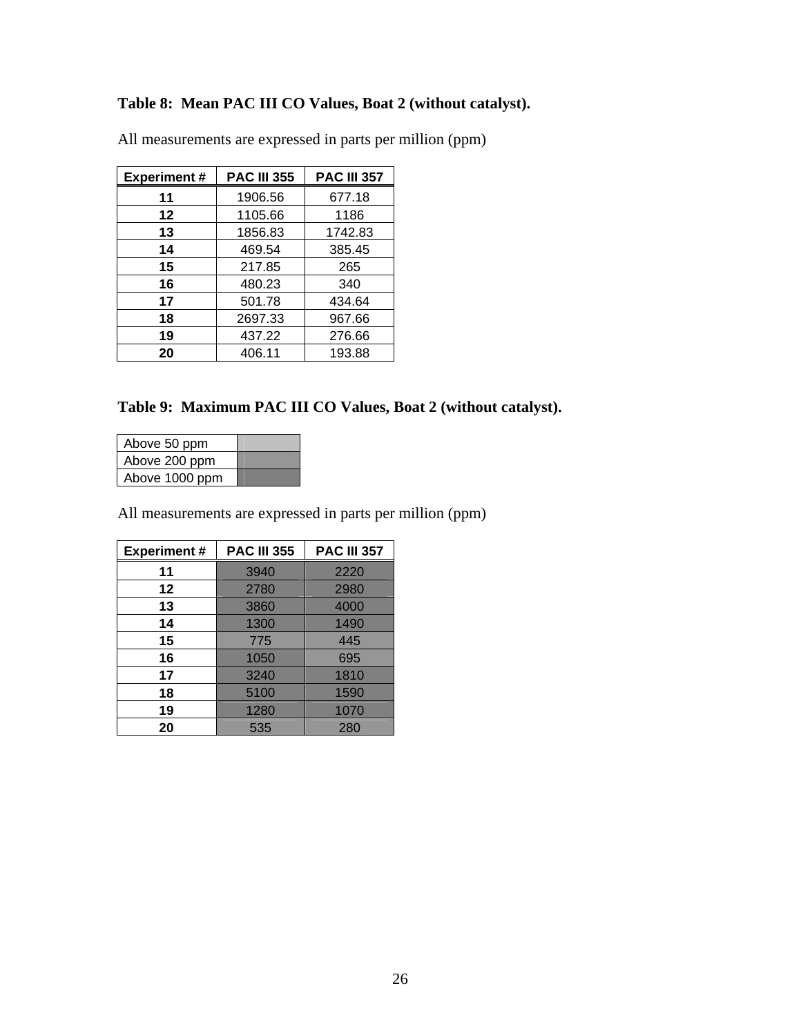## **Table 8: Mean PAC III CO Values, Boat 2 (without catalyst).**

| <b>Experiment#</b> | <b>PAC III 355</b> | <b>PAC III 357</b> |
|--------------------|--------------------|--------------------|
| 11                 | 1906.56            | 677.18             |
| 12                 | 1105.66            | 1186               |
| 13                 | 1856.83            | 1742.83            |
| 14                 | 469.54             | 385.45             |
| 15                 | 217.85             | 265                |
| 16                 | 480.23             | 340                |
| 17                 | 501.78             | 434.64             |
| 18                 | 2697.33            | 967.66             |
| 19                 | 437.22             | 276.66             |
| 20                 | 406.11             | 193.88             |

All measurements are expressed in parts per million (ppm)

## **Table 9: Maximum PAC III CO Values, Boat 2 (without catalyst).**

| Above 50 ppm   |  |
|----------------|--|
| Above 200 ppm  |  |
| Above 1000 ppm |  |

| <b>Experiment#</b> | <b>PAC III 355</b> | <b>PAC III 357</b> |  |
|--------------------|--------------------|--------------------|--|
| 11                 | 3940               | 2220               |  |
| 12                 | 2780               | 2980               |  |
| 13                 | 3860               | 4000               |  |
| 14                 | 1300               | 1490               |  |
| 15                 | 775                | 445                |  |
| 16                 | 1050               | 695                |  |
| 17                 | 3240               | 1810               |  |
| 18                 | 1590<br>5100       |                    |  |
| 19                 | 1280               | 1070               |  |
| 20                 | 535                | 280                |  |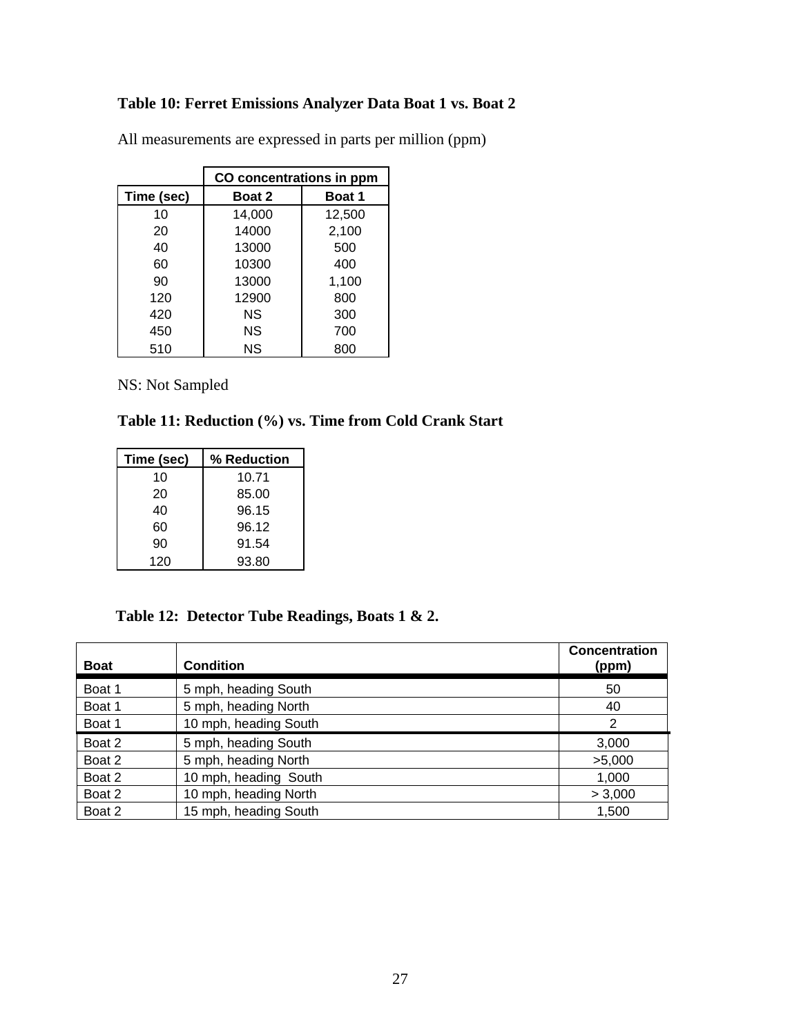## **Table 10: Ferret Emissions Analyzer Data Boat 1 vs. Boat 2**

|            | CO concentrations in ppm |               |  |
|------------|--------------------------|---------------|--|
| Time (sec) | <b>Boat 2</b>            | <b>Boat 1</b> |  |
| 10         | 14,000                   | 12,500        |  |
| 20         | 14000                    | 2,100         |  |
| 40         | 13000                    | 500           |  |
| 60         | 10300                    | 400           |  |
| 90         | 13000                    | 1,100         |  |
| 120        | 12900                    | 800           |  |
| 420        | ΝS                       | 300           |  |
| 450        | ΝS                       | 700           |  |
| 510        | <b>NS</b>                | 800           |  |

All measurements are expressed in parts per million (ppm)

NS: Not Sampled

## **Table 11: Reduction (%) vs. Time from Cold Crank Start**

| Time (sec) | % Reduction |
|------------|-------------|
| 10         | 10.71       |
| 20         | 85.00       |
| 40         | 96.15       |
| 60         | 96.12       |
| 90         | 91.54       |
| 120        | 93.80       |

## **Table 12: Detector Tube Readings, Boats 1 & 2.**

| <b>Boat</b> | <b>Condition</b>      | <b>Concentration</b><br>(ppm) |
|-------------|-----------------------|-------------------------------|
| Boat 1      | 5 mph, heading South  | 50                            |
| Boat 1      | 5 mph, heading North  | 40                            |
| Boat 1      | 10 mph, heading South | $\overline{2}$                |
| Boat 2      | 5 mph, heading South  | 3,000                         |
| Boat 2      | 5 mph, heading North  | >5,000                        |
| Boat 2      | 10 mph, heading South | 1,000                         |
| Boat 2      | 10 mph, heading North | > 3,000                       |
| Boat 2      | 15 mph, heading South | 1,500                         |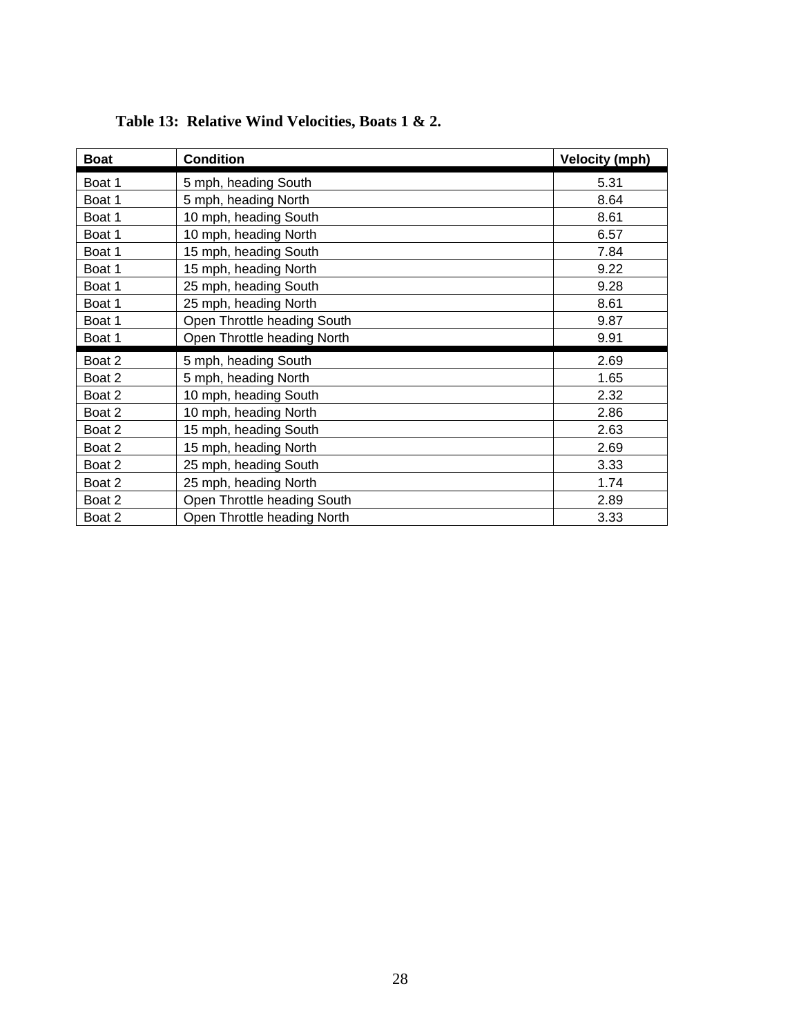| <b>Boat</b> | <b>Condition</b>            | <b>Velocity (mph)</b> |
|-------------|-----------------------------|-----------------------|
| Boat 1      | 5 mph, heading South        | 5.31                  |
| Boat 1      | 5 mph, heading North        | 8.64                  |
| Boat 1      | 10 mph, heading South       | 8.61                  |
| Boat 1      | 10 mph, heading North       | 6.57                  |
| Boat 1      | 15 mph, heading South       | 7.84                  |
| Boat 1      | 15 mph, heading North       | 9.22                  |
| Boat 1      | 25 mph, heading South       | 9.28                  |
| Boat 1      | 25 mph, heading North       | 8.61                  |
| Boat 1      | Open Throttle heading South | 9.87                  |
| Boat 1      | Open Throttle heading North | 9.91                  |
| Boat 2      | 5 mph, heading South        | 2.69                  |
| Boat 2      | 5 mph, heading North        | 1.65                  |
| Boat 2      | 10 mph, heading South       | 2.32                  |
| Boat 2      | 10 mph, heading North       | 2.86                  |
| Boat 2      | 15 mph, heading South       | 2.63                  |
| Boat 2      | 15 mph, heading North       | 2.69                  |
| Boat 2      | 25 mph, heading South       | 3.33                  |
| Boat 2      | 25 mph, heading North       | 1.74                  |
| Boat 2      | Open Throttle heading South | 2.89                  |
| Boat 2      | Open Throttle heading North | 3.33                  |

# **Table 13: Relative Wind Velocities, Boats 1 & 2.**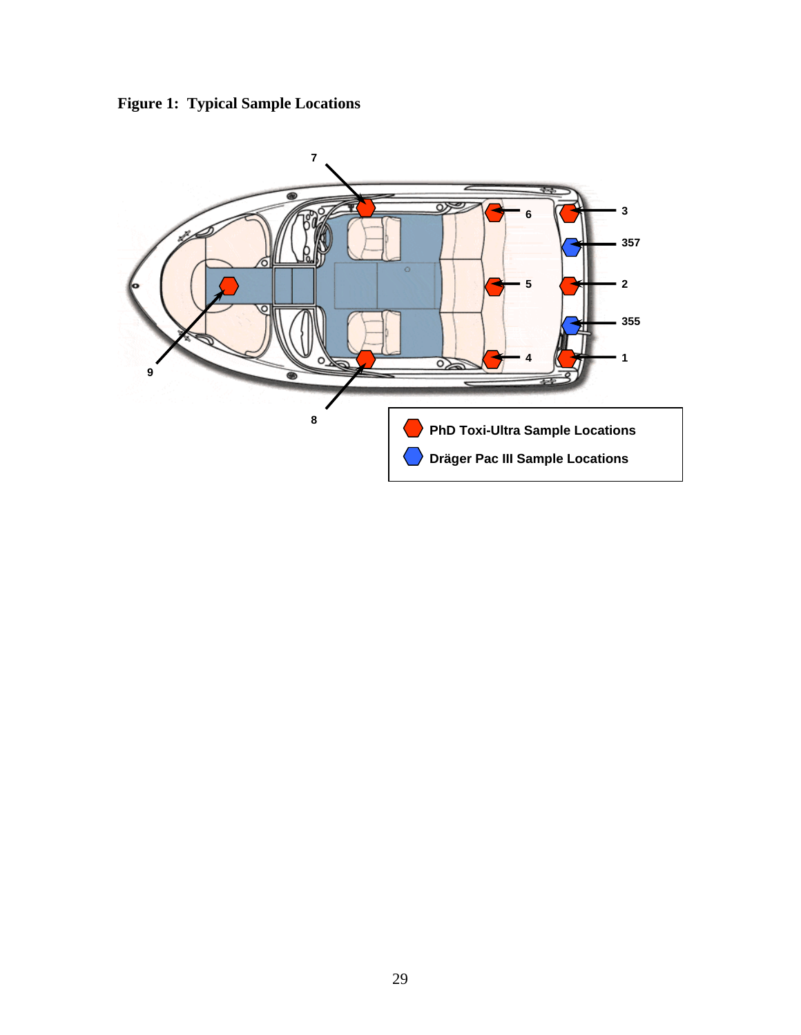

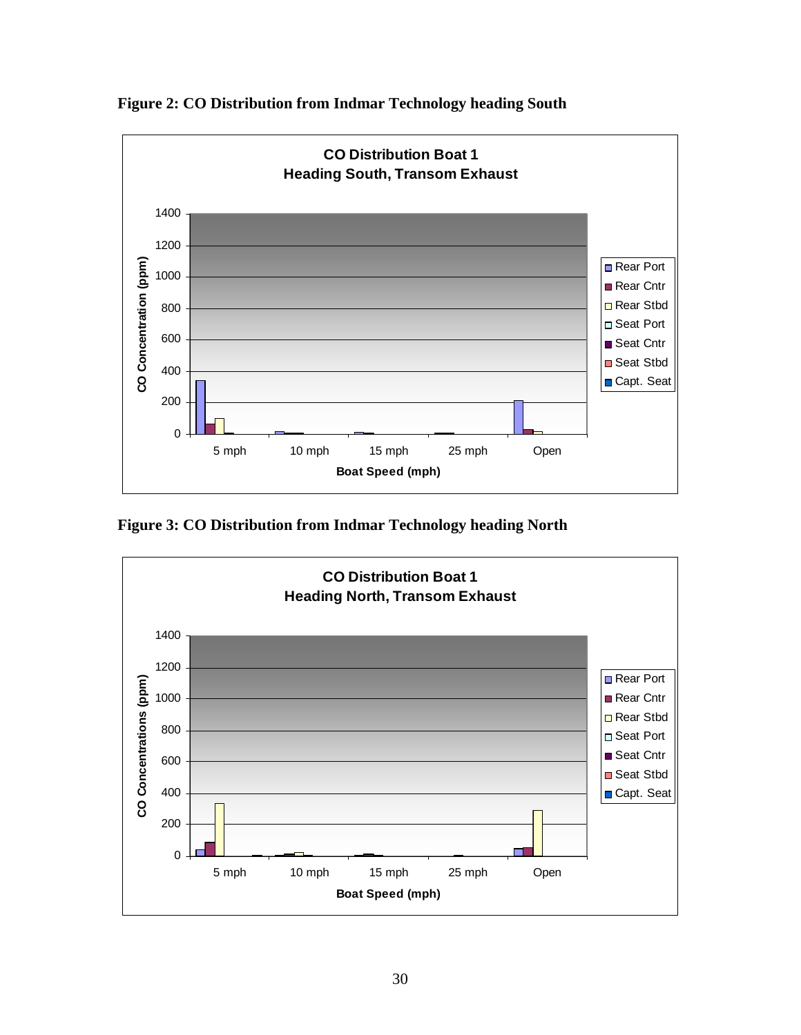

**Figure 2: CO Distribution from Indmar Technology heading South** 

**Figure 3: CO Distribution from Indmar Technology heading North** 

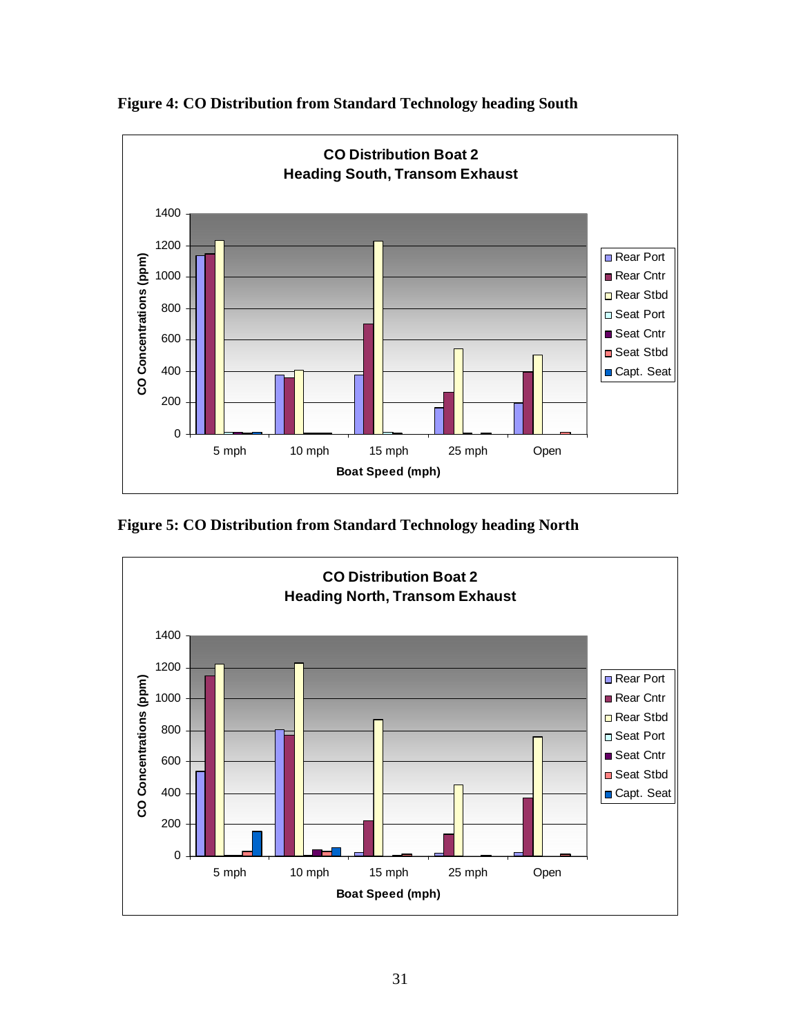

**Figure 4: CO Distribution from Standard Technology heading South** 

**Figure 5: CO Distribution from Standard Technology heading North** 

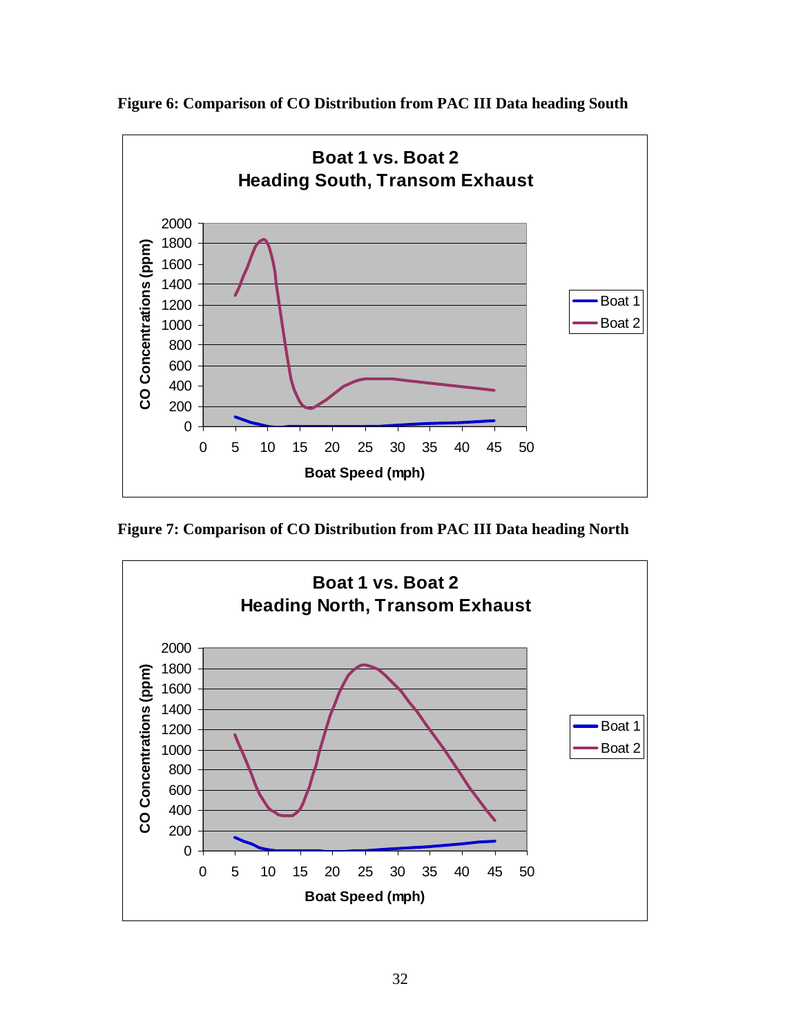

**Figure 6: Comparison of CO Distribution from PAC III Data heading South** 

**Figure 7: Comparison of CO Distribution from PAC III Data heading North**